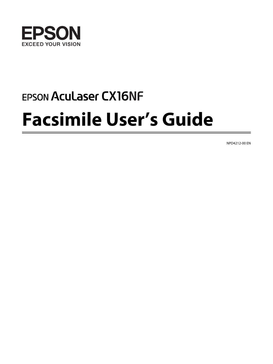

# **EPSON Aculaser CX16NF Facsimile User's Guide**

NPD4212-00 EN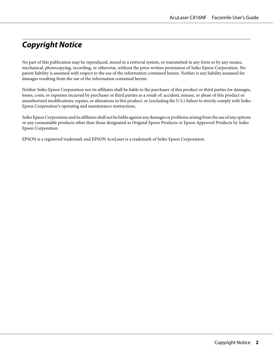# **Copyright Notice**

No part of this publication may be reproduced, stored in a retrieval system, or transmitted in any form or by any means, mechanical, photocopying, recording, or otherwise, without the prior written permission of Seiko Epson Corporation. No patent liability is assumed with respect to the use of the information contained herein. Neither is any liability assumed for damages resulting from the use of the information contained herein.

Neither Seiko Epson Corporation nor its affiliates shall be liable to the purchaser of this product or third parties for damages, losses, costs, or expenses incurred by purchaser or third parties as a result of: accident, misuse, or abuse of this product or unauthorized modifications, repairs, or alterations to this product, or (excluding the U.S.) failure to strictly comply with Seiko Epson Corporation's operating and maintenance instructions.

Seiko Epson Corporation and its affiliates shall not be liable against any damages or problems arising from the use of any options or any consumable products other than those designated as Original Epson Products or Epson Approved Products by Seiko Epson Corporation.

EPSON is a registered trademark and EPSON AcuLaser is a trademark of Seiko Epson Corporation.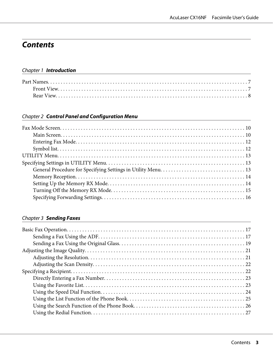# **Contents**

# Chapter 1 **[Introduction](#page-6-0)**

# Chapter 2 **[Control Panel and Configuration Menu](#page-9-0)**

# Chapter 3 **[Sending Faxes](#page-16-0)**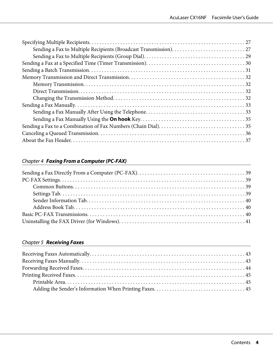# Chapter 4 **[Faxing From a Computer \(PC-FAX\)](#page-38-0)**

# Chapter 5 **[Receiving Faxes](#page-42-0)**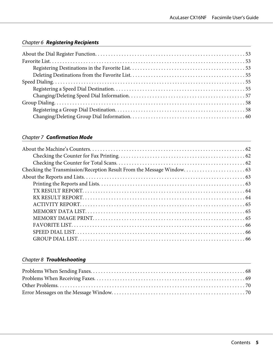# Chapter 6 **[Registering Recipients](#page-52-0)**

# Chapter 7 **[Confirmation Mode](#page-61-0)**

# Chapter 8 **[Troubleshooting](#page-67-0)**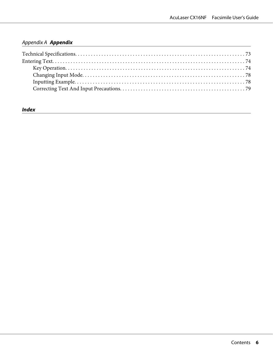# [Appendix A](#page-72-0) **Appendix**

# **[Index](#page-79-0)**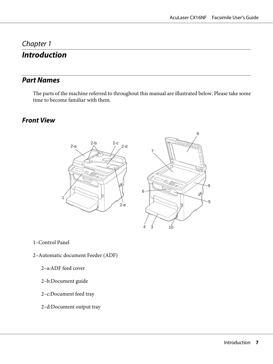# <span id="page-6-0"></span>Chapter 1 **Introduction**

# **Part Names**

The parts of the machine referred to throughout this manual are illustrated below. Please take some time to become familiar with them.

# **Front View**





1–Control Panel

- 2–Automatic document Feeder (ADF)
	- 2–a:ADF feed cover
	- 2–b:Document guide
	- 2–c:Document feed tray
	- 2–d:Document output tray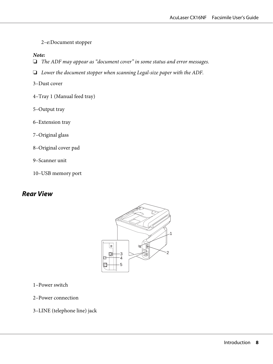<span id="page-7-0"></span>2–e:Document stopper

#### *Note:*

- ❏ *The ADF may appear as "document cover" in some status and error messages.*
- ❏ *Lower the document stopper when scanning Legal-size paper with the ADF.*

3–Dust cover

- 4–Tray 1 (Manual feed tray)
- 5–Output tray
- 6–Extension tray
- 7–Original glass
- 8–Original cover pad
- 9–Scanner unit
- 10–USB memory port

# **Rear View**



1–Power switch

- 2–Power connection
- 3–LINE (telephone line) jack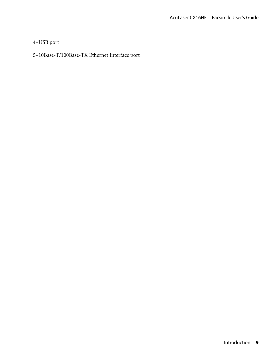# 4–USB port

# 5–10Base-T/100Base-TX Ethernet Interface port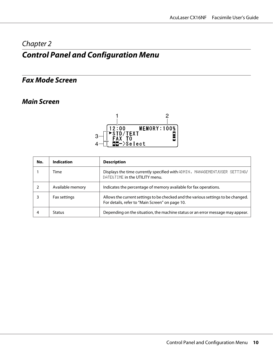# <span id="page-9-0"></span>Chapter 2

# **Control Panel and Configuration Menu**

# **Fax Mode Screen**

# **Main Screen**



| No. | <b>Indication</b> | <b>Description</b>                                                                                                                   |
|-----|-------------------|--------------------------------------------------------------------------------------------------------------------------------------|
|     | Time              | Displays the time currently specified with ADMIN. MANAGEMENT/USER SETTING/<br>DATE&TIME in the UTILITY menu.                         |
|     | Available memory  | Indicates the percentage of memory available for fax operations.                                                                     |
|     | Fax settings      | Allows the current settings to be checked and the various settings to be changed.<br>For details, refer to "Main Screen" on page 10. |
| 4   | <b>Status</b>     | Depending on the situation, the machine status or an error message may appear.                                                       |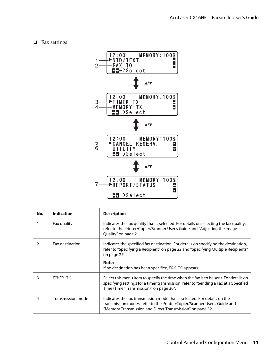#### ❏ Fax settings



| No.           | <b>Indication</b> | <b>Description</b>                                                                                                                                                                                                                                        |
|---------------|-------------------|-----------------------------------------------------------------------------------------------------------------------------------------------------------------------------------------------------------------------------------------------------------|
|               | Fax quality       | Indicates the fax quality that is selected. For details on selecting the fax quality,<br>refer to the Printer/Copier/Scanner User's Guide and "Adjusting the Image<br>Quality" on page 21.                                                                |
| $\mathcal{P}$ | Fax destination   | Indicates the specified fax destination. For details on specifying the destination,<br>refer to "Specifying a Recipient" on page 22 and "Specifying Multiple Recipients"<br>on page 27.<br>Note:<br>If no destination has been specified, FAX TO appears. |
| 3             | TIMER TX          | Select this menu item to specify the time when the fax is to be sent. For details on<br>specifying settings for a timer transmission, refer to "Sending a Fax at a Specified<br>Time (Timer Transmission)" on page 30".                                   |
| 4             | Transmission mode | Indicates the fax transmission mode that is selected. For details on the<br>transmission modes, refer to the Printer/Copier/Scanner User's Guide and<br>"Memory Transmission and Direct Transmission" on page 32.                                         |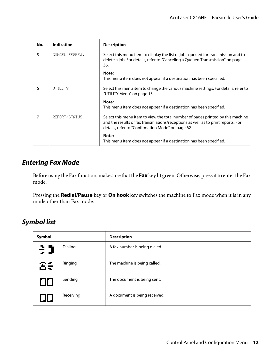<span id="page-11-0"></span>

| No. | <b>Indication</b> | <b>Description</b>                                                                                                                                                                                                       |
|-----|-------------------|--------------------------------------------------------------------------------------------------------------------------------------------------------------------------------------------------------------------------|
| 5   | CANCEL RESERV.    | Select this menu item to display the list of jobs queued for transmission and to<br>delete a job. For details, refer to "Canceling a Queued Transmission" on page<br>36.                                                 |
|     |                   | Note:<br>This menu item does not appear if a destination has been specified.                                                                                                                                             |
| 6   | UTILITY           | Select this menu item to change the various machine settings. For details, refer to<br>"UTILITY Menu" on page 13.                                                                                                        |
|     |                   | Note:<br>This menu item does not appear if a destination has been specified.                                                                                                                                             |
| 7   | REPORT/STATUS     | Select this menu item to view the total number of pages printed by this machine<br>and the results of fax transmissions/receptions as well as to print reports. For<br>details, refer to "Confirmation Mode" on page 62. |
|     |                   | Note:<br>This menu item does not appear if a destination has been specified.                                                                                                                                             |

# **Entering Fax Mode**

Before using the Fax function, make sure that the **Fax** key lit green. Otherwise, press it to enter the Fax mode.

Pressing the **Redial/Pause** key or **On hook** key switches the machine to Fax mode when it is in any mode other than Fax mode.

# **Symbol list**

| Symbol |           | <b>Description</b>            |
|--------|-----------|-------------------------------|
| €      | Dialing   | A fax number is being dialed. |
| δŧ     | Ringing   | The machine is being called.  |
| ПП     | Sending   | The document is being sent.   |
| JII J  | Receiving | A document is being received. |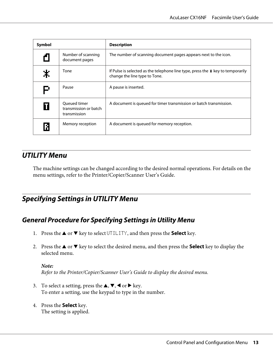<span id="page-12-0"></span>

| Symbol |                                                       | <b>Description</b>                                                                                                    |
|--------|-------------------------------------------------------|-----------------------------------------------------------------------------------------------------------------------|
| f      | Number of scanning<br>document pages                  | The number of scanning document pages appears next to the icon.                                                       |
| 米      | Tone                                                  | If Pulse is selected as the telephone line type, press the $\ast$ key to temporarily<br>change the line type to Tone. |
| P      | Pause                                                 | A pause is inserted.                                                                                                  |
|        | Oueued timer<br>transmission or batch<br>transmission | A document is queued for timer transmission or batch transmission.                                                    |
| R      | Memory reception                                      | A document is queued for memory reception.                                                                            |

# **UTILITY Menu**

The machine settings can be changed according to the desired normal operations. For details on the menu settings, refer to the Printer/Copier/Scanner User's Guide.

# **Specifying Settings in UTILITY Menu**

# **General Procedure for Specifying Settings in Utility Menu**

- 1. Press the  $\triangle$  or  $\nabla$  key to select UTILITY, and then press the **Select** key.
- 2. Press the  $\triangle$  or  $\nabla$  key to select the desired menu, and then press the **Select** key to display the selected menu.

# *Note:*

*Refer to the Printer/Copier/Scanner User's Guide to display the desired menu.*

- 3. To select a setting, press the  $\blacktriangle, \blacktriangledown, \blacktriangleleft$  or  $\blacktriangleright$  key. To enter a setting, use the keypad to type in the number.
- 4. Press the **Select** key. The setting is applied.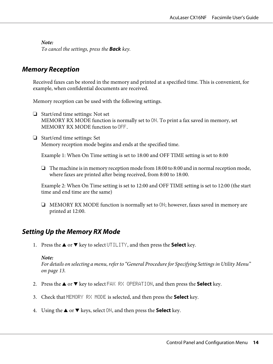<span id="page-13-0"></span>*To cancel the settings, press the* **Back** *key.*

# **Memory Reception**

Received faxes can be stored in the memory and printed at a specified time. This is convenient, for example, when confidential documents are received.

Memory reception can be used with the following settings.

- ❏ Start/end time settings: Not set MEMORY RX MODE function is normally set to ON. To print a fax saved in memory, set MEMORY RX MODE function to OFF.
- ❏ Start/end time settings: Set Memory reception mode begins and ends at the specified time.

Example 1: When On Time setting is set to 18:00 and OFF TIME setting is set to 8:00

❏ The machine is in memory reception mode from 18:00 to 8:00 and in normal reception mode, where faxes are printed after being received, from 8:00 to 18:00.

Example 2: When On Time setting is set to 12:00 and OFF TIME setting is set to 12:00 (the start time and end time are the same)

❏ MEMORY RX MODE function is normally set to ON; however, faxes saved in memory are printed at 12:00.

# **Setting Up the Memory RX Mode**

1. Press the  $\triangle$  or  $\nabla$  key to select UTILITY, and then press the **Select** key.

#### *Note:*

*For details on selecting a menu, refer to ["General Procedure for Specifying Settings in Utility Menu"](#page-12-0) [on page 13](#page-12-0).*

- 2. Press the  $\blacktriangle$  or  $\nabla$  key to select FAX RX OPERATION, and then press the **Select** key.
- 3. Check that MEMORY RX MODE is selected, and then press the **Select** key.
- 4. Using the  $\triangle$  or  $\nabla$  keys, select  $\Box$ N, and then press the **Select** key.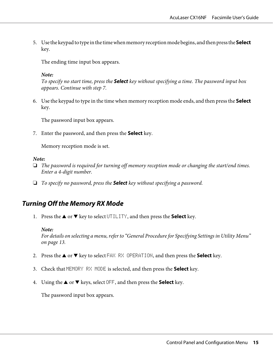<span id="page-14-0"></span>5. Use the keypad to type in the time when memory reception mode begins, and then press the **Select** key.

The ending time input box appears.

#### *Note:*

*To specify no start time, press the* **Select** *key without specifying a time. The password input box appears. Continue with step 7.*

6. Use the keypad to type in the time when memory reception mode ends, and then press the **Select** key.

The password input box appears.

7. Enter the password, and then press the **Select** key.

Memory reception mode is set.

#### *Note:*

- ❏ *The password is required for turning off memory reception mode or changing the start/end times. Enter a 4-digit number.*
- ❏ *To specify no password, press the* **Select** *key without specifying a password.*

# **Turning Off the Memory RX Mode**

1. Press the  $\triangle$  or  $\nabla$  key to select UTILITY, and then press the **Select** key.

#### *Note:*

*For details on selecting a menu, refer to ["General Procedure for Specifying Settings in Utility Menu"](#page-12-0) [on page 13](#page-12-0).*

- 2. Press the  $\blacktriangle$  or  $\nabla$  key to select FAX RX OPERATION, and then press the **Select** key.
- 3. Check that MEMORY RX MODE is selected, and then press the **Select** key.
- 4. Using the  $\triangle$  or  $\nabla$  keys, select OFF, and then press the **Select** key.

The password input box appears.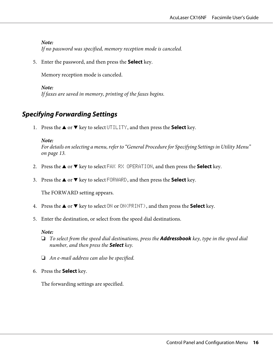# <span id="page-15-0"></span>*Note: If no password was specified, memory reception mode is canceled.*

5. Enter the password, and then press the **Select** key.

Memory reception mode is canceled.

*Note: If faxes are saved in memory, printing of the faxes begins.*

# **Specifying Forwarding Settings**

1. Press the  $\triangle$  or  $\nabla$  key to select UTILITY, and then press the **Select** key.

# *Note:*

*For details on selecting a menu, refer to ["General Procedure for Specifying Settings in Utility Menu"](#page-12-0) [on page 13](#page-12-0).*

- 2. Press the  $\triangle$  or  $\nabla$  key to select FAX RX OPERATION, and then press the **Select** key.
- 3. Press the **▲** or ▼ key to select FORWARD, and then press the **Select** key.

The FORWARD setting appears.

- 4. Press the  $\blacktriangle$  or  $\nabla$  key to select ON or ON(PRINT), and then press the **Select** key.
- 5. Enter the destination, or select from the speed dial destinations.

# *Note:*

- ❏ *To select from the speed dial destinations, press the* **Addressbook** *key, type in the speed dial number, and then press the* **Select** *key.*
- ❏ *An e-mail address can also be specified.*
- 6. Press the **Select** key.

The forwarding settings are specified.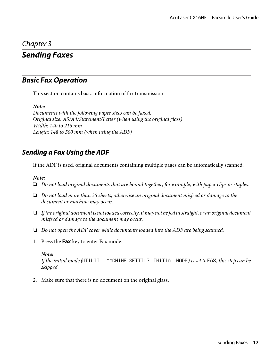# <span id="page-16-0"></span>Chapter 3

# **Sending Faxes**

# **Basic Fax Operation**

This section contains basic information of fax transmission.

*Note:*

*Documents with the following paper sizes can be faxed. Original size: A5/A4/Statement/Letter (when using the original glass) Width: 140 to 216 mm Length: 148 to 500 mm (when using the ADF)*

# **Sending a Fax Using the ADF**

If the ADF is used, original documents containing multiple pages can be automatically scanned.

### *Note:*

- ❏ *Do not load original documents that are bound together, for example, with paper clips or staples.*
- ❏ *Do not load more than 35 sheets; otherwise an original document misfeed or damage to the document or machine may occur.*
- ❏ *If the original document is not loaded correctly, it may not be fed in straight, or an original document misfeed or damage to the document may occur.*
- ❏ *Do not open the ADF cover while documents loaded into the ADF are being scanned.*
- 1. Press the **Fax** key to enter Fax mode.

#### *Note:*

*If the initial mode (*UTILITY *-* MACHINE SETTING *-* INITIAL MODE*) is set to* FAX*, this step can be skipped.*

2. Make sure that there is no document on the original glass.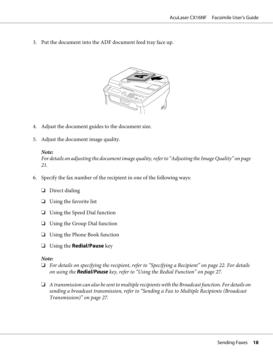3. Put the document into the ADF document feed tray face up.



- 4. Adjust the document guides to the document size.
- 5. Adjust the document image quality.

### *Note:*

*For details on adjusting the document image quality, refer to ["Adjusting the Image Quality" on page](#page-20-0) [21](#page-20-0).*

- 6. Specify the fax number of the recipient in one of the following ways:
	- ❏ Direct dialing
	- ❏ Using the favorite list
	- ❏ Using the Speed Dial function
	- ❏ Using the Group Dial function
	- ❏ Using the Phone Book function
	- ❏ Using the **Redial/Pause** key

# *Note:*

- ❏ *For details on specifying the recipient, refer to ["Specifying a Recipient" on page 22](#page-21-0). For details on using the* **Redial/Pause** *key, refer to ["Using the Redial Function" on page 27.](#page-26-0)*
- ❏ *A transmission can also be sent to multiple recipients with the Broadcast function. For details on sending a broadcast transmission, refer to ["Sending a Fax to Multiple Recipients \(Broadcast](#page-26-0) [Transmission\)" on page 27.](#page-26-0)*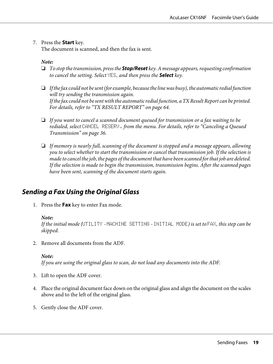### <span id="page-18-0"></span>7. Press the **Start** key.

The document is scanned, and then the fax is sent.

#### *Note:*

- ❏ *To stop the transmission, press the* **Stop/Reset** *key. A message appears, requesting confirmation to cancel the setting. Select* YES*, and then press the* **Select** *key.*
- ❏ *If the fax could not be sent (for example, because the line was busy), the automatic redial function will try sending the transmission again. If the fax could not be sent with the automatic redial function, a TX Result Report can be printed. For details, refer to ["TX RESULT REPORT" on page 64.](#page-63-0)*
- ❏ *If you want to cancel a scanned document queued for transmission or a fax waiting to be redialed, select* CANCEL RESERV. *from the menu. For details, refer to ["Canceling a Queued](#page-35-0) [Transmission" on page 36.](#page-35-0)*
- ❏ *If memory is nearly full, scanning of the document is stopped and a message appears, allowing you to select whether to start the transmission or cancel that transmission job. If the selection is made to cancel the job, the pages of the document that have been scanned for that job are deleted. If the selection is made to begin the transmission, transmission begins. After the scanned pages have been sent, scanning of the document starts again.*

# **Sending a Fax Using the Original Glass**

1. Press the **Fax** key to enter Fax mode.

#### *Note:*

*If the initial mode (*UTILITY *-* MACHINE SETTING *-* INITIAL MODE*) is set to* FAX*, this step can be skipped.*

2. Remove all documents from the ADF.

#### *Note:*

*If you are using the original glass to scan, do not load any documents into the ADF.*

- 3. Lift to open the ADF cover.
- 4. Place the original document face down on the original glass and align the document on the scales above and to the left of the original glass.
- 5. Gently close the ADF cover.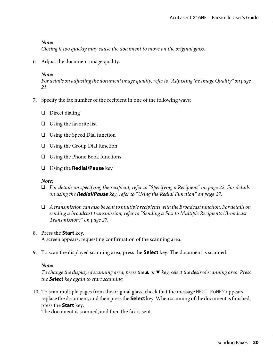*Closing it too quickly may cause the document to move on the original glass.*

6. Adjust the document image quality.

#### *Note:*

*For details on adjusting the document image quality, refer to ["Adjusting the Image Quality" on page](#page-20-0) [21](#page-20-0).*

- 7. Specify the fax number of the recipient in one of the following ways:
	- ❏ Direct dialing
	- ❏ Using the favorite list
	- ❏ Using the Speed Dial function
	- ❏ Using the Group Dial function
	- ❏ Using the Phone Book functions
	- ❏ Using the **Redial/Pause** key

#### *Note:*

- ❏ *For details on specifying the recipient, refer to ["Specifying a Recipient" on page 22](#page-21-0). For details on using the* **Redial/Pause** *key, refer to ["Using the Redial Function" on page 27.](#page-26-0)*
- ❏ *A transmission can also be sent to multiple recipients with the Broadcast function. For details on sending a broadcast transmission, refer to ["Sending a Fax to Multiple Recipients \(Broadcast](#page-26-0) [Transmission\)" on page 27.](#page-26-0)*

#### 8. Press the **Start** key.

A screen appears, requesting confirmation of the scanning area.

9. To scan the displayed scanning area, press the **Select** key. The document is scanned.

#### *Note:*

*To change the displayed scanning area, press the* ▲ or ▼ *key, select the desired scanning area. Press the* **Select** *key again to start scanning.*

10. To scan multiple pages from the original glass, check that the message NEXT PAGE? appears, replace the document, and then press the **Select** key. When scanning of the document is finished, press the **Start** key.

The document is scanned, and then the fax is sent.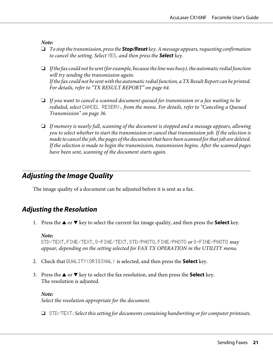- <span id="page-20-0"></span>❏ *To stop the transmission, press the* **Stop/Reset** *key. A message appears, requesting confirmation to cancel the setting. Select* YES*, and then press the* **Select** *key.*
- ❏ *If the fax could not be sent (for example, because the line was busy), the automatic redial function will try sending the transmission again. If the fax could not be sent with the automatic redial function, a TX Result Report can be printed. For details, refer to ["TX RESULT REPORT" on page 64.](#page-63-0)*
- ❏ *If you want to cancel a scanned document queued for transmission or a fax waiting to be redialed, select* CANCEL RESERV. *from the menu. For details, refer to ["Canceling a Queued](#page-35-0) [Transmission" on page 36.](#page-35-0)*
- ❏ *If memory is nearly full, scanning of the document is stopped and a message appears, allowing you to select whether to start the transmission or cancel that transmission job. If the selection is made to cancel the job, the pages of the document that have been scanned for that job are deleted. If the selection is made to begin the transmission, transmission begins. After the scanned pages have been sent, scanning of the document starts again.*

# **Adjusting the Image Quality**

The image quality of a document can be adjusted before it is sent as a fax.

# **Adjusting the Resolution**

1. Press the  $\triangle$  or  $\nabla$  key to select the current fax image quality, and then press the **Select** key.

#### *Note:*

STD/TEXT*,* FINE/TEXT*,* S-FINE/TEXT*,* STD/PHOTO*,* FINE/PHOTO *or* S-FINE/PHOTO *may appear, depending on the setting selected for FAX TX OPERATION in the UTILITY menu.*

- 2. Check that QUALITY(ORIGINAL) is selected, and then press the **Select** key.
- 3. Press the  $\blacktriangle$  or  $\nabla$  key to select the fax resolution, and then press the **Select** key. The resolution is adjusted.

*Note: Select the resolution appropriate for the document.*

❏ STD/TEXT*: Select this setting for documents containing handwriting or for computer printouts.*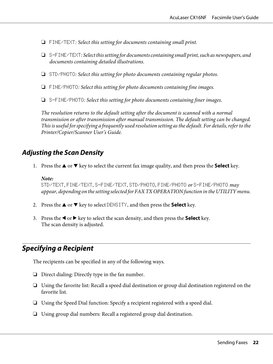- <span id="page-21-0"></span>❏ FINE/TEXT*: Select this setting for documents containing small print.*
- ❏ S-FINE/TEXT*: Select this setting for documents containing small print, such as newspapers, and documents containing detailed illustrations.*
- ❏ STD/PHOTO*: Select this setting for photo documents containing regular photos.*
- ❏ FINE/PHOTO*: Select this setting for photo documents containing fine images.*
- ❏ S-FINE/PHOTO*: Select this setting for photo documents containing finer images.*

*The resolution returns to the default setting after the document is scanned with a normal transmission or after transmission after manual transmission. The default setting can be changed. This is useful for specifying a frequently used resolution setting as the default. For details, refer to the Printer/Copier/Scanner User's Guide.*

# **Adjusting the Scan Density**

1. Press the  $\triangle$  or  $\nabla$  key to select the current fax image quality, and then press the **Select** key.

#### *Note:*

STD/TEXT*,* FINE/TEXT*,* S-FINE/TEXT*,* STD/PHOTO*,* FINE/PHOTO *or* S-FINE/PHOTO *may appear, depending on the setting selected for FAX TX OPERATION function in the UTILITY menu.*

- 2. Press the  $\triangle$  or  $\nabla$  key to select DENSITY, and then press the **Select** key.
- 3. Press the  $\blacktriangleleft$  or  $\blacktriangleright$  key to select the scan density, and then press the **Select** key. The scan density is adjusted.

# **Specifying a Recipient**

The recipients can be specified in any of the following ways.

- ❏ Direct dialing: Directly type in the fax number.
- ❏ Using the favorite list: Recall a speed dial destination or group dial destination registered on the favorite list.
- ❏ Using the Speed Dial function: Specify a recipient registered with a speed dial.
- ❏ Using group dial numbers: Recall a registered group dial destination.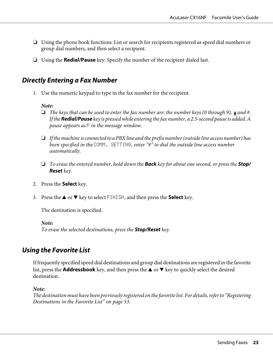- <span id="page-22-0"></span>❏ Using the phone book functions: List or search for recipients registered as speed dial numbers or group dial numbers, and then select a recipient.
- ❏ Using the **Redial/Pause** key: Specify the number of the recipient dialed last.

# **Directly Entering a Fax Number**

1. Use the numeric keypad to type in the fax number for the recipient.

### *Note:*

- ❏ *The keys that can be used to enter the fax number are: the number keys (0 through 9), and #. If the* **Redial/Pause** *key is pressed while entering the fax number, a 2.5-second pause is added. A pause appears as* P *in the message window.*
- ❏ *If the machine is connected to a PBX line and the prefix number (outside line access number) has been specified in the* COMM. SETTING*, enter "#" to dial the outside line access number automatically.*
- ❏ *To erase the entered number, hold down the* **Back** *key for about one second, or press the* **Stop/ Reset** *key.*
- 2. Press the **Select** key.
- 3. Press the  $\blacktriangle$  or  $\nabla$  key to select FINISH, and then press the **Select** key.

The destination is specified.

*Note:*

*To erase the selected destinations, press the* **Stop/Reset** *key.*

# **Using the Favorite List**

If frequently specified speed dial destinations and group dial destinations are registered in the favorite list, press the **Addressbook** key, and then press the  $\triangle$  or  $\nabla$  key to quickly select the desired destination.

#### *Note:*

*The destination must have been previously registered on the favorite list. For details, refer to ["Registering](#page-52-0) [Destinations in the Favorite List" on page 53](#page-52-0).*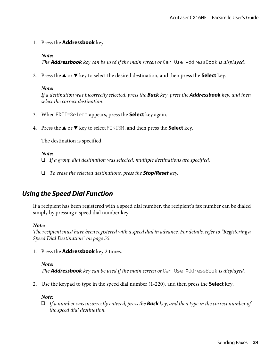<span id="page-23-0"></span>1. Press the **Addressbook** key.

*Note:*

*The* **Addressbook** *key can be used if the main screen or* Can Use AddressBook *is displayed.*

2. Press the  $\triangle$  or  $\nabla$  key to select the desired destination, and then press the **Select** key.

#### *Note:*

*If a destination was incorrectly selected, press the* **Back** *key, press the* **Addressbook** *key, and then select the correct destination.*

- 3. When EDIT=Select appears, press the **Select** key again.
- 4. Press the  $\triangle$  or  $\nabla$  key to select FINISH, and then press the **Select** key.

The destination is specified.

#### *Note:*

❏ *If a group dial destination was selected, multiple destinations are specified.*

❏ *To erase the selected destinations, press the* **Stop/Reset** *key.*

# **Using the Speed Dial Function**

If a recipient has been registered with a speed dial number, the recipient's fax number can be dialed simply by pressing a speed dial number key.

#### *Note:*

*The recipient must have been registered with a speed dial in advance. For details, refer to ["Registering a](#page-54-0) [Speed Dial Destination" on page 55.](#page-54-0)*

1. Press the **Addressbook** key 2 times.

*Note: The* **Addressbook** *key can be used if the main screen or* Can Use AddressBook *is displayed.*

2. Use the keypad to type in the speed dial number (1-220), and then press the **Select** key.

*Note:*

❏ *If a number was incorrectly entered, press the* **Back** *key, and then type in the correct number of the speed dial destination.*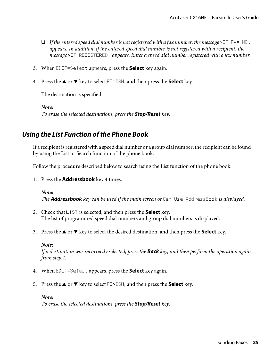- <span id="page-24-0"></span>❏ *If the entered speed dial number is not registered with a fax number, the message* NOT FAX NO. *appears. In addition, if the entered speed dial number is not registered with a recipient, the message* NOT REGISTERED! *appears. Enter a speed dial number registered with a fax number.*
- 3. When EDIT=Select appears, press the **Select** key again.
- 4. Press the  $\triangle$  or  $\nabla$  key to select FINISH, and then press the **Select** key.

The destination is specified.

*Note:*

*To erase the selected destinations, press the* **Stop/Reset** *key.*

# **Using the List Function of the Phone Book**

If a recipient is registered with a speed dial number or a group dial number, the recipient can be found by using the List or Search function of the phone book.

Follow the procedure described below to search using the List function of the phone book.

1. Press the **Addressbook** key 4 times.

*Note: The* **Addressbook** *key can be used if the main screen or* Can Use AddressBook *is displayed.*

- 2. Check that LIST is selected, and then press the **Select** key. The list of programmed speed dial numbers and group dial numbers is displayed.
- 3. Press the  $\triangle$  or  $\nabla$  key to select the desired destination, and then press the **Select** key.

*Note:*

*If a destination was incorrectly selected, press the* **Back** *key, and then perform the operation again from step 1.*

- 4. When EDIT=Select appears, press the **Select** key again.
- 5. Press the  $\triangle$  or  $\nabla$  key to select FINISH, and then press the **Select** key.

#### *Note:*

*To erase the selected destinations, press the* **Stop/Reset** *key.*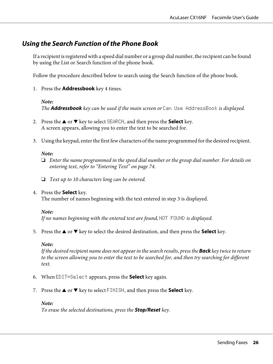# <span id="page-25-0"></span>**Using the Search Function of the Phone Book**

If a recipient is registered with a speed dial number or a group dial number, the recipient can be found by using the List or Search function of the phone book.

Follow the procedure described below to search using the Search function of the phone book.

1. Press the **Addressbook** key 4 times.

#### *Note:*

*The* **Addressbook** *key can be used if the main screen or* Can Use AddressBook *is displayed.*

- 2. Press the  $\triangle$  or  $\nabla$  key to select SEARCH, and then press the **Select** key. A screen appears, allowing you to enter the text to be searched for.
- 3. Using the keypad, enter the first few characters of the name programmed for the desired recipient.

#### *Note:*

- ❏ *Enter the name programmed in the speed dial number or the group dial number. For details on entering text, refer to ["Entering Text" on page 74.](#page-73-0)*
- ❏ *Text up to 10 characters long can be entered.*
- 4. Press the **Select** key.

The number of names beginning with the text entered in step 3 is displayed.

#### *Note:*

If no names beginning with the entered text are found, **NOT** FOUND is displayed.

5. Press the  $\triangle$  or  $\nabla$  key to select the desired destination, and then press the **Select** key.

#### *Note:*

*If the desired recipient name does not appear in the search results, press the* **Back** *key twice to return to the screen allowing you to enter the text to be searched for, and then try searching for different text.*

- 6. When EDIT=Select appears, press the **Select** key again.
- 7. Press the  $\triangle$  or  $\nabla$  key to select FINISH, and then press the **Select** key.

#### *Note:*

*To erase the selected destinations, press the* **Stop/Reset** *key.*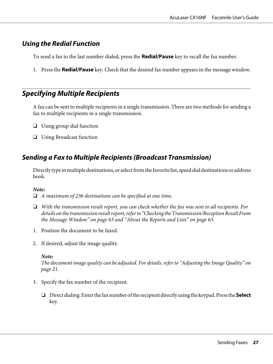# <span id="page-26-0"></span>**Using the Redial Function**

To send a fax to the last number dialed, press the **Redial/Pause** key to recall the fax number.

1. Press the **Redial/Pause** key. Check that the desired fax number appears in the message window.

# **Specifying Multiple Recipients**

A fax can be sent to multiple recipients in a single transmission. There are two methods for sending a fax to multiple recipients in a single transmission.

- ❏ Using group dial function
- ❏ Using Broadcast function

# **Sending a Fax to Multiple Recipients (Broadcast Transmission)**

Directly type in multiple destinations, or select from the favorite list, speed dial destinations or address book.

# *Note:*

❏ *A maximum of 236 destinations can be specified at one time.*

- ❏ *With the transmission result report, you can check whether the fax was sent to all recipients. For details on the transmission result report, refer to ["Checking the Transmission/Reception Result From](#page-62-0) [the Message Window" on page 63](#page-62-0) and ["About the Reports and Lists" on page 63.](#page-62-0)*
- 1. Position the document to be faxed.
- 2. If desired, adjust the image quality.

#### *Note:*

*The document image quality can be adjusted. For details, refer to ["Adjusting the Image Quality" on](#page-20-0) [page 21.](#page-20-0)*

- 3. Specify the fax number of the recipient.
	- ❏ Direct dialing: Enter the fax number of the recipient directly using the keypad. Press the **Select** key.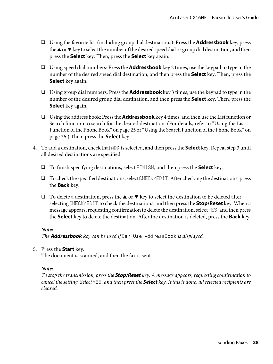- ❏ Using the favorite list (including group dial destinations): Press the **Addressbook** key, press the  $\blacktriangle$  or  $\nblacktriangledown$  key to select the number of the desired speed dial or group dial destination, and then press the **Select** key. Then, press the **Select** key again.
- ❏ Using speed dial numbers: Press the **Addressbook** key 2 times, use the keypad to type in the number of the desired speed dial destination, and then press the **Select** key. Then, press the **Select** key again.
- ❏ Using group dial numbers: Press the **Addressbook** key 3 times, use the keypad to type in the number of the desired group dial destination, and then press the **Select** key. Then, press the **Select** key again.
- ❏ Using the address book: Press the **Addressbook** key 4 times, and then use the List function or Search function to search for the desired destination. (For details, refer to ["Using the List](#page-24-0) [Function of the Phone Book" on page 25](#page-24-0) or ["Using the Search Function of the Phone Book" on](#page-25-0) [page 26](#page-25-0).) Then, press the **Select** key.
- 4. To add a destination, check that ADD is selected, and then press the **Select** key. Repeat step 3 until all desired destinations are specified.
	- ❏ To finish specifying destinations, select FINISH, and then press the **Select** key.
	- ❏ To check the specified destinations, select CHECK/EDIT. After checking the destinations, press the **Back** key.
	- **□** To delete a destination, press the **A** or  $\blacktriangledown$  key to select the destination to be deleted after selecting CHECK/EDIT to check the destinations, and then press the **Stop/Reset** key. When a message appears, requesting confirmation to delete the destination, select YES, and then press the **Select** key to delete the destination. After the destination is deleted, press the **Back** key.

*The* **Addressbook** *key can be used if* Can Use AddressBook *is displayed.*

5. Press the **Start** key.

The document is scanned, and then the fax is sent.

# *Note:*

*To stop the transmission, press the* **Stop/Reset** *key. A message appears, requesting confirmation to cancel the setting. Select* YES*, and then press the* **Select** *key. If this is done, all selected recipients are cleared.*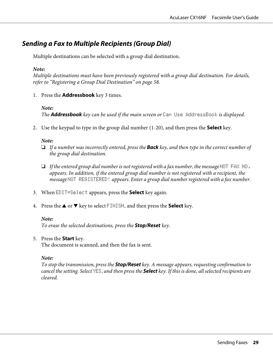# <span id="page-28-0"></span>**Sending a Fax to Multiple Recipients (Group Dial)**

Multiple destinations can be selected with a group dial destination.

# *Note:*

*Multiple destinations must have been previously registered with a group dial destination. For details, refer to ["Registering a Group Dial Destination" on page 58](#page-57-0).*

1. Press the **Addressbook** key 3 times.

# *Note:*

*The* **Addressbook** *key can be used if the main screen or* Can Use AddressBook *is displayed.*

2. Use the keypad to type in the group dial number (1-20), and then press the **Select** key.

# *Note:*

- ❏ *If a number was incorrectly entered, press the* **Back** *key, and then type in the correct number of the group dial destination.*
- ❏ *If the entered group dial number is not registered with a fax number, the message* NOT FAX NO. *appears. In addition, if the entered group dial number is not registered with a recipient, the message* NOT REGISTERED! *appears. Enter a group dial number registered with a fax number.*
- 3. When EDIT=Select appears, press the **Select** key again.
- 4. Press the  $\triangle$  or  $\nabla$  key to select FINISH, and then press the **Select** key.

# *Note:*

*To erase the selected destinations, press the* **Stop/Reset** *key.*

# 5. Press the **Start** key.

The document is scanned, and then the fax is sent.

# *Note:*

*To stop the transmission, press the* **Stop/Reset** *key. A message appears, requesting confirmation to cancel the setting. Select* YES*, and then press the* **Select** *key. If this is done, all selected recipients are cleared.*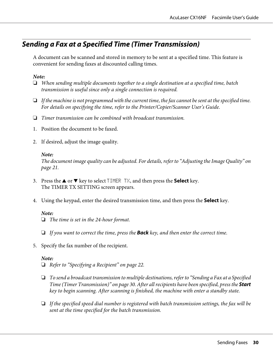# <span id="page-29-0"></span>**Sending a Fax at a Specified Time (Timer Transmission)**

A document can be scanned and stored in memory to be sent at a specified time. This feature is convenient for sending faxes at discounted calling times.

### *Note:*

- ❏ *When sending multiple documents together to a single destination at a specified time, batch transmission is useful since only a single connection is required.*
- ❏ *If the machine is not programmed with the current time, the fax cannot be sent at the specified time. For details on specifying the time, refer to the Printer/Copier/Scanner User's Guide.*
- ❏ *Timer transmission can be combined with broadcast transmission.*
- 1. Position the document to be faxed.
- 2. If desired, adjust the image quality.

#### *Note:*

*The document image quality can be adjusted. For details, refer to ["Adjusting the Image Quality" on](#page-20-0) [page 21.](#page-20-0)*

- 3. Press the  $\triangle$  or  $\nabla$  key to select TIMER TX, and then press the **Select** key. The TIMER TX SETTING screen appears.
- 4. Using the keypad, enter the desired transmission time, and then press the **Select** key.

#### *Note:*

❏ *The time is set in the 24-hour format.*

- ❏ *If you want to correct the time, press the* **Back** *key, and then enter the correct time.*
- 5. Specify the fax number of the recipient.

#### *Note:*

- ❏ *Refer to ["Specifying a Recipient" on page 22](#page-21-0).*
- ❏ *To send a broadcast transmission to multiple destinations, refer to "Sending a Fax at a Specified Time (Timer Transmission)*" on page 30. After all recipients have been specified, press the **Start** *key to begin scanning. After scanning is finished, the machine with enter a standby state.*
- ❏ *If the specified speed dial number is registered with batch transmission settings, the fax will be sent at the time specified for the batch transmission.*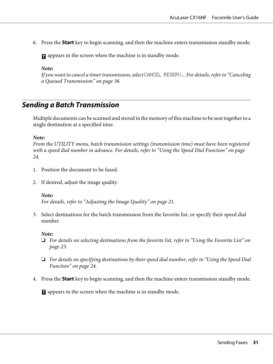<span id="page-30-0"></span>6. Press the **Start** key to begin scanning, and then the machine enters transmission standby mode.

 $\blacksquare$  appears in the screen when the machine is in standby mode.

*Note:*

*If you want to cancel a timer transmission, select* CANCEL RESERV.*. For details, refer to ["Canceling](#page-35-0) [a Queued Transmission" on page 36](#page-35-0).*

# **Sending a Batch Transmission**

Multiple documents can be scanned and stored in the memory of this machine to be sent together to a single destination at a specified time.

*Note:*

*From the UTILITY menu, batch transmission settings (transmission time) must have been registered with a speed dial number in advance. For details, refer to ["Using the Speed Dial Function" on page](#page-23-0) [24](#page-23-0).*

- 1. Position the document to be faxed.
- 2. If desired, adjust the image quality.

#### *Note:*

*For details, refer to ["Adjusting the Image Quality" on page 21.](#page-20-0)*

3. Select destinations for the batch transmission from the favorite list, or specify their speed dial number.

#### *Note:*

- ❏ *For details on selecting destinations from the favorite list, refer to ["Using the Favorite List" on](#page-22-0) [page 23.](#page-22-0)*
- ❏ *For details on specifying destinations by their speed dial number, refer to ["Using the Speed Dial](#page-23-0) [Function" on page 24.](#page-23-0)*
- 4. Press the **Start** key to begin scanning, and then the machine enters transmission standby mode.

**T** appears in the screen when the machine is in standby mode.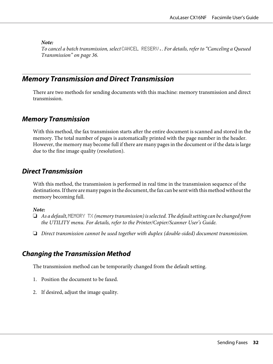<span id="page-31-0"></span>*To cancel a batch transmission, select* CANCEL RESERV.*. For details, refer to ["Canceling a Queued](#page-35-0) [Transmission" on page 36.](#page-35-0)*

# **Memory Transmission and Direct Transmission**

There are two methods for sending documents with this machine: memory transmission and direct transmission.

# **Memory Transmission**

With this method, the fax transmission starts after the entire document is scanned and stored in the memory. The total number of pages is automatically printed with the page number in the header. However, the memory may become full if there are many pages in the document or if the data is large due to the fine image quality (resolution).

# **Direct Transmission**

With this method, the transmission is performed in real time in the transmission sequence of the destinations. If there are many pages in the document, the fax can be sent with this method without the memory becoming full.

#### *Note:*

- ❏ *As a default,* MEMORY TX *(memory transmission) is selected. The default setting can be changed from the UTILITY menu. For details, refer to the Printer/Copier/Scanner User's Guide.*
- ❏ *Direct transmission cannot be used together with duplex (double-sided) document transmission.*

# **Changing the Transmission Method**

The transmission method can be temporarily changed from the default setting.

- 1. Position the document to be faxed.
- 2. If desired, adjust the image quality.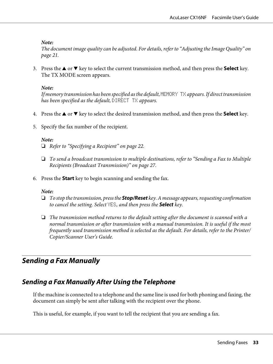<span id="page-32-0"></span>*The document image quality can be adjusted. For details, refer to ["Adjusting the Image Quality" on](#page-20-0) [page 21.](#page-20-0)*

3. Press the  $\blacktriangle$  or  $\nabla$  key to select the current transmission method, and then press the **Select** key. The TX MODE screen appears.

### *Note:*

*If memory transmission has been specified as the default,* MEMORY TX *appears. If direct transmission has been specified as the default,* DIRECT TX *appears.*

- 4. Press the  $\blacktriangle$  or  $\nabla$  key to select the desired transmission method, and then press the **Select** key.
- 5. Specify the fax number of the recipient.

#### *Note:*

- ❏ *Refer to ["Specifying a Recipient" on page 22](#page-21-0).*
- ❏ *To send a broadcast transmission to multiple destinations, refer to ["Sending a Fax to Multiple](#page-26-0) [Recipients \(Broadcast Transmission\)" on page 27](#page-26-0).*
- 6. Press the **Start** key to begin scanning and sending the fax.

#### *Note:*

- ❏ *To stop the transmission, press the* **Stop/Reset** *key. A message appears, requesting confirmation to cancel the setting. Select* YES*, and then press the* **Select** *key.*
- ❏ *The transmission method returns to the default setting after the document is scanned with a normal transmission or after transmission with a manual transmission. It is useful if the most frequently used transmission method is selected as the default. For details, refer to the Printer/ Copier/Scanner User's Guide.*

# **Sending a Fax Manually**

# **Sending a Fax Manually After Using the Telephone**

If the machine is connected to a telephone and the same line is used for both phoning and faxing, the document can simply be sent after talking with the recipient over the phone.

This is useful, for example, if you want to tell the recipient that you are sending a fax.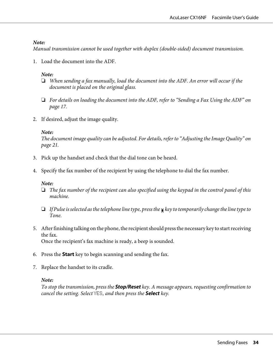*Manual transmission cannot be used together with duplex (double-sided) document transmission.*

1. Load the document into the ADF.

### *Note:*

- ❏ *When sending a fax manually, load the document into the ADF. An error will occur if the document is placed on the original glass.*
- ❏ *For details on loading the document into the ADF, refer to ["Sending a Fax Using the ADF" on](#page-16-0) [page 17.](#page-16-0)*
- 2. If desired, adjust the image quality.

#### *Note:*

*The document image quality can be adjusted. For details, refer to ["Adjusting the Image Quality" on](#page-20-0) [page 21.](#page-20-0)*

- 3. Pick up the handset and check that the dial tone can be heard.
- 4. Specify the fax number of the recipient by using the telephone to dial the fax number.

#### *Note:*

- ❏ *The fax number of the recipient can also specified using the keypad in the control panel of this machine.*
- $\Box$  *If Pulse is selected as the telephone line type, press the x key to temporarily change the line type to Tone.*
- 5. After finishing talking on the phone, the recipient should press the necessary key to start receiving the fax. Once the recipient's fax machine is ready, a beep is sounded.
- 6. Press the **Start** key to begin scanning and sending the fax.
- 7. Replace the handset to its cradle.

# *Note:*

*To stop the transmission, press the* **Stop/Reset** *key. A message appears, requesting confirmation to cancel the setting. Select* YES*, and then press the* **Select** *key.*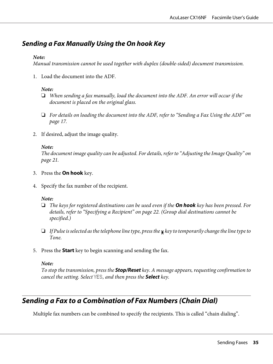# <span id="page-34-0"></span>**Sending a Fax Manually Using the On hook Key**

### *Note:*

*Manual transmission cannot be used together with duplex (double-sided) document transmission.*

1. Load the document into the ADF.

### *Note:*

- ❏ *When sending a fax manually, load the document into the ADF. An error will occur if the document is placed on the original glass.*
- ❏ *For details on loading the document into the ADF, refer to ["Sending a Fax Using the ADF" on](#page-16-0) [page 17.](#page-16-0)*
- 2. If desired, adjust the image quality.

#### *Note:*

*The document image quality can be adjusted. For details, refer to ["Adjusting the Image Quality" on](#page-20-0) [page 21.](#page-20-0)*

- 3. Press the **On hook** key.
- 4. Specify the fax number of the recipient.

### *Note:*

- ❏ *The keys for registered destinations can be used even if the* **On hook** *key has been pressed. For details, refer to ["Specifying a Recipient" on page 22.](#page-21-0) (Group dial destinations cannot be specified.)*
- $\Box$  *If Pulse is selected as the telephone line type, press the x key to temporarily change the line type to Tone.*
- 5. Press the **Start** key to begin scanning and sending the fax.

#### *Note:*

*To stop the transmission, press the* **Stop/Reset** *key. A message appears, requesting confirmation to cancel the setting. Select* YES*, and then press the* **Select** *key.*

# **Sending a Fax to a Combination of Fax Numbers (Chain Dial)**

Multiple fax numbers can be combined to specify the recipients. This is called "chain dialing".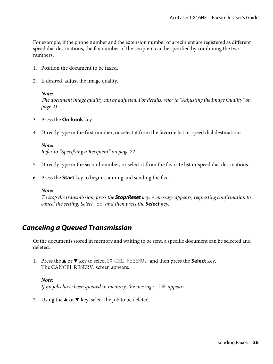<span id="page-35-0"></span>For example, if the phone number and the extension number of a recipient are registered as different speed dial destinations, the fax number of the recipient can be specified by combining the two numbers.

- 1. Position the document to be faxed.
- 2. If desired, adjust the image quality.

#### *Note:*

*The document image quality can be adjusted. For details, refer to ["Adjusting the Image Quality" on](#page-20-0) [page 21.](#page-20-0)*

- 3. Press the **On hook** key.
- 4. Directly type in the first number, or select it from the favorite list or speed dial destinations.

*Note: Refer to ["Specifying a Recipient" on page 22](#page-21-0).*

- 5. Directly type in the second number, or select it from the favorite list or speed dial destinations.
- 6. Press the **Start** key to begin scanning and sending the fax.

#### *Note:*

*To stop the transmission, press the* **Stop/Reset** *key. A message appears, requesting confirmation to cancel the setting. Select* YES*, and then press the* **Select** *key.*

# **Canceling a Queued Transmission**

Of the documents stored in memory and waiting to be sent, a specific document can be selected and deleted.

1. Press the  $\blacktriangle$  or  $\nabla$  key to select CANCEL RESERV., and then press the **Select** key. The CANCEL RESERV. screen appears.

#### *Note:*

*If no jobs have been queued in memory, the message* **NONE** *appears.* 

2. Using the  $\blacktriangle$  or  $\nabla$  key, select the job to be deleted.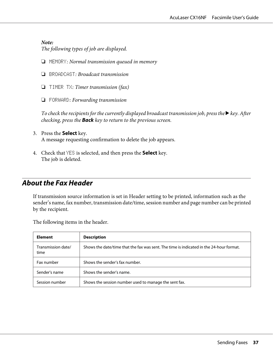*The following types of job are displayed.*

- ❏ MEMORY*: Normal transmission queued in memory*
- ❏ BROADCAST*: Broadcast transmission*
- ❏ TIMER TX*: Timer transmission (fax)*
- ❏ FORWARD*: Forwarding transmission*

*To check the recipients for the currently displayed broadcast transmission job, press the*  $\blacktriangleright$  *key. After checking, press the* **Back** *key to return to the previous screen.*

- 3. Press the **Select** key. A message requesting confirmation to delete the job appears.
- 4. Check that YES is selected, and then press the **Select** key. The job is deleted.

### **About the Fax Header**

If transmission source information is set in Header setting to be printed, information such as the sender's name, fax number, transmission date/time, session number and page number can be printed by the recipient.

The following items in the header.

| <b>Element</b>             | <b>Description</b>                                                                      |
|----------------------------|-----------------------------------------------------------------------------------------|
| Transmission date/<br>time | Shows the date/time that the fax was sent. The time is indicated in the 24-hour format. |
| Fax number                 | Shows the sender's fax number.                                                          |
| Sender's name              | Shows the sender's name.                                                                |
| Session number             | Shows the session number used to manage the sent fax.                                   |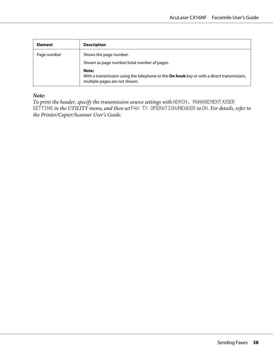| Element     | <b>Description</b>                                                                                                                         |  |  |
|-------------|--------------------------------------------------------------------------------------------------------------------------------------------|--|--|
| Page number | Shows the page number.                                                                                                                     |  |  |
|             | Shown as page number/total number of pages.                                                                                                |  |  |
|             | Note:<br>With a transmission using the telephone or the <b>On hook</b> key or with a direct transmission,<br>multiple pages are not shown. |  |  |

*To print the header, specify the transmission source settings with* ADMIN. MANAGEMENT*/*USER SETTING *in the UTILITY menu, and then set* FAX TX OPERATION*/*HEADER *to* ON*. For details, refer to the Printer/Copier/Scanner User's Guide.*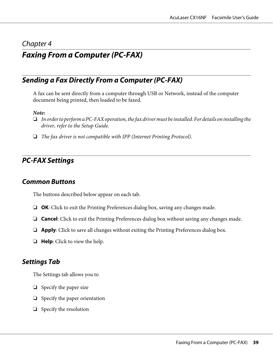### Chapter 4

# **Faxing From a Computer (PC-FAX)**

## **Sending a Fax Directly From a Computer (PC-FAX)**

A fax can be sent directly from a computer through USB or Network, instead of the computer document being printed, then loaded to be faxed.

#### *Note:*

- ❏ *In order to perform a PC-FAX operation, the fax driver must be installed. For details on installing the driver, refer to the Setup Guide.*
- ❏ *The fax driver is not compatible with IPP (Internet Printing Protocol).*

### **PC-FAX Settings**

### **Common Buttons**

The buttons described below appear on each tab.

- ❏ **OK**: Click to exit the Printing Preferences dialog box, saving any changes made.
- ❏ **Cancel**: Click to exit the Printing Preferences dialog box without saving any changes made.
- ❏ **Apply**: Click to save all changes without exiting the Printing Preferences dialog box.
- ❏ **Help**: Click to view the help.

### **Settings Tab**

The Settings tab allows you to

- ❏ Specify the paper size
- ❏ Specify the paper orientation
- ❏ Specify the resolution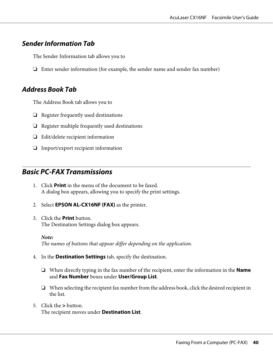### **Sender Information Tab**

The Sender Information tab allows you to

❏ Enter sender information (for example, the sender name and sender fax number)

### **Address Book Tab**

The Address Book tab allows you to

- ❏ Register frequently used destinations
- ❏ Register multiple frequently used destinations
- ❏ Edit/delete recipient information
- ❏ Import/export recipient information

## **Basic PC-FAX Transmissions**

- 1. Click **Print** in the menu of the document to be faxed. A dialog box appears, allowing you to specify the print settings.
- 2. Select **EPSON AL-CX16NF (FAX)** as the printer.
- 3. Click the **Print** button. The Destination Settings dialog box appears.
	- *Note: The names of buttons that appear differ depending on the application.*
- 4. In the **Destination Settings** tab, specify the destination.
	- ❏ When directly typing in the fax number of the recipient, enter the information in the **Name** and **Fax Number** boxes under **User/Group List**.
	- ❏ When selecting the recipient fax number from the address book, click the desired recipient in the list.
- 5. Click the **>** button. The recipient moves under **Destination List**.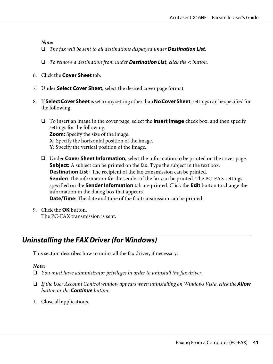- ❏ *The fax will be sent to all destinations displayed under* **Destination List***.*
- ❏ *To remove a destination from under* **Destination List***, click the* **<** *button.*
- 6. Click the **Cover Sheet** tab.
- 7. Under **Select Cover Sheet**, select the desired cover page format.
- 8. If **Select Cover Sheet** is set to any setting other than **No Cover Sheet**, settings can be specified for the following.
	- ❏ To insert an image in the cover page, select the **Insert Image** check box, and then specify settings for the following. **Zoom:** Specify the size of the image. **X:** Specify the horizontal position of the image. **Y:** Specify the vertical position of the image.
	- ❏ Under **Cover Sheet Information**, select the information to be printed on the cover page. **Subject:** A subject can be printed on the fax. Type the subject in the text box. **Destination List :** The recipient of the fax transmission can be printed. **Sender:** The information for the sender of the fax can be printed. The PC-FAX settings specified on the **Sender Information** tab are printed. Click the **Edit** button to change the information in the dialog box that appears. **Date/Time**: The date and time of the fax transmission can be printed.
- 9. Click the **OK** button. The PC-FAX transmission is sent.

# **Uninstalling the FAX Driver (for Windows)**

This section describes how to uninstall the fax driver, if necessary.

#### *Note:*

- ❏ *You must have administrator privileges in order to uninstall the fax driver.*
- ❏ *If the User Account Control window appears when uninstalling on Windows Vista, click the* **Allow** *button or the* **Continue** *button.*
- 1. Close all applications.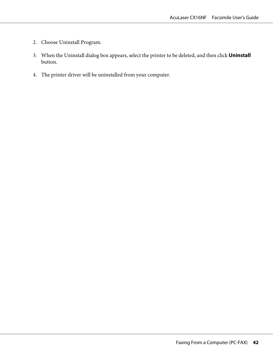- 2. Choose Uninstall Program.
- 3. When the Uninstall dialog box appears, select the printer to be deleted, and then click **Uninstall** button.
- 4. The printer driver will be uninstalled from your computer.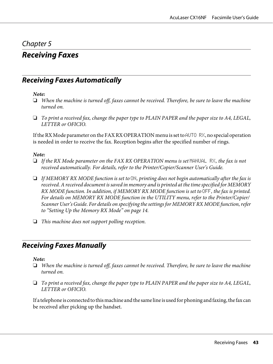### Chapter 5

# **Receiving Faxes**

## **Receiving Faxes Automatically**

#### *Note:*

- ❏ *When the machine is turned off, faxes cannot be received. Therefore, be sure to leave the machine turned on.*
- ❏ *To print a received fax, change the paper type to PLAIN PAPER and the paper size to A4, LEGAL, LETTER or OFICIO.*

If the RX Mode parameter on the FAX RX OPERATION menu is set to AUTO  $R\ddot{\text{x}}$ , no special operation is needed in order to receive the fax. Reception begins after the specified number of rings.

#### *Note:*

- ❏ *If the RX Mode parameter on the FAX RX OPERATION menu is set* MANUAL RX*, the fax is not received automatically. For details, refer to the Printer/Copier/Scanner User's Guide.*
- ❏ *If MEMORY RX MODE function is set to* ON*, printing does not begin automatically after the fax is received. A received document is saved in memory and is printed at the time specified for MEMORY RX MODE function. In addition, if MEMORY RX MODE function is set to* OFF*, the fax is printed. For details on MEMORY RX MODE function in the UTILITY menu, refer to the Printer/Copier/ Scanner User's Guide. For details on specifying the settings for MEMORY RX MODE function, refer to ["Setting Up the Memory RX Mode" on page 14.](#page-13-0)*
- ❏ *This machine does not support polling reception.*

## **Receiving Faxes Manually**

#### *Note:*

- ❏ *When the machine is turned off, faxes cannot be received. Therefore, be sure to leave the machine turned on.*
- ❏ *To print a received fax, change the paper type to PLAIN PAPER and the paper size to A4, LEGAL, LETTER or OFICIO.*

If a telephone is connected to this machine and the same line is used for phoning and faxing, the fax can be received after picking up the handset.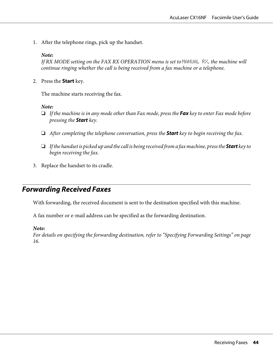1. After the telephone rings, pick up the handset.

#### *Note:*

If RX MODE setting on the FAX RX OPERATION menu is set to MANUAL RX, the machine will *continue ringing whether the call is being received from a fax machine or a telephone.*

2. Press the **Start** key.

The machine starts receiving the fax.

#### *Note:*

- ❏ *If the machine is in any mode other than Fax mode, press the* **Fax** *key to enter Fax mode before pressing the* **Start** *key.*
- ❏ *After completing the telephone conversation, press the* **Start** *key to begin receiving the fax.*
- ❏ *If the handset is picked up and the call is being received from a fax machine, press the* **Start** *key to begin receiving the fax.*
- 3. Replace the handset to its cradle.

## **Forwarding Received Faxes**

With forwarding, the received document is sent to the destination specified with this machine.

A fax number or e-mail address can be specified as the forwarding destination.

#### *Note:*

*For details on specifying the forwarding destination, refer to ["Specifying Forwarding Settings" on page](#page-15-0) [16](#page-15-0).*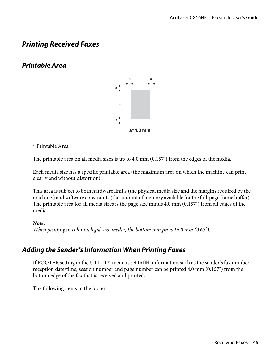## **Printing Received Faxes**

## **Printable Area**



#### \* Printable Area

The printable area on all media sizes is up to 4.0 mm (0.157") from the edges of the media.

Each media size has a specific printable area (the maximum area on which the machine can print clearly and without distortion).

This area is subject to both hardware limits (the physical media size and the margins required by the machine ) and software constraints (the amount of memory available for the full-page frame buffer). The printable area for all media sizes is the page size minus 4.0 mm (0.157") from all edges of the media.

#### *Note:*

*When printing in color on legal-size media, the bottom margin is 16.0 mm (0.63").*

## **Adding the Sender's Information When Printing Faxes**

If FOOTER setting in the UTILITY menu is set to ON, information such as the sender's fax number, reception date/time, session number and page number can be printed 4.0 mm (0.157") from the bottom edge of the fax that is received and printed.

The following items in the footer.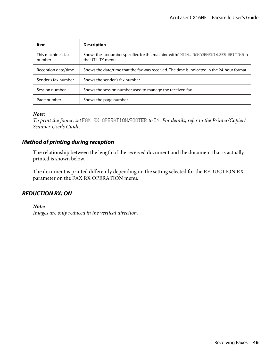| Item                         | <b>Description</b>                                                                                          |  |
|------------------------------|-------------------------------------------------------------------------------------------------------------|--|
| This machine's fax<br>number | Shows the fax number specified for this machine with ADMIN. MANAGEMENT/USER SETTING in<br>the UTILITY menu. |  |
| Reception date/time          | Shows the date/time that the fax was received. The time is indicated in the 24-hour format.                 |  |
| Sender's fax number          | Shows the sender's fax number.                                                                              |  |
| Session number               | Shows the session number used to manage the received fax.                                                   |  |
| Page number                  | Shows the page number.                                                                                      |  |

*To print the footer, set* FAX RX OPERATION*/*FOOTER *to* ON*. For details, refer to the Printer/Copier/ Scanner User's Guide.*

#### **Method of printing during reception**

The relationship between the length of the received document and the document that is actually printed is shown below.

The document is printed differently depending on the setting selected for the REDUCTION RX parameter on the FAX RX OPERATION menu.

#### **REDUCTION RX: ON**

*Note:*

*Images are only reduced in the vertical direction.*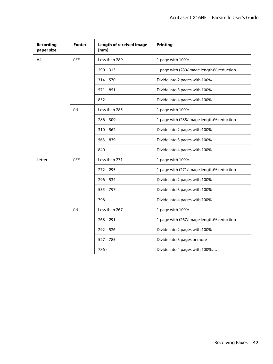| Recording<br>paper size | <b>Footer</b> | <b>Length of received image</b><br>[mm] | <b>Printing</b>                           |
|-------------------------|---------------|-----------------------------------------|-------------------------------------------|
| A4                      | <b>OFF</b>    | Less than 289                           | 1 page with 100%                          |
|                         |               | $290 - 313$                             | 1 page with (289/image length)% reduction |
|                         |               | $314 - 570$                             | Divide into 2 pages with 100%             |
|                         |               | $571 - 851$                             | Divide into 3 pages with 100%             |
|                         |               | $852 -$                                 | Divide into 4 pages with 100%             |
|                         | 0N            | Less than 285                           | 1 page with 100%                          |
|                         |               | $286 - 309$                             | 1 page with (285/image length)% reduction |
|                         |               | $310 - 562$                             | Divide into 2 pages with 100%             |
|                         |               | $563 - 839$                             | Divide into 3 pages with 100%             |
|                         |               | $840 -$                                 | Divide into 4 pages with 100%             |
| Letter                  | <b>OFF</b>    | Less than 271                           | 1 page with 100%                          |
|                         |               | $272 - 295$                             | 1 page with (271/image length)% reduction |
|                         |               | $296 - 534$                             | Divide into 2 pages with 100%             |
|                         |               | $535 - 797$                             | Divide into 3 pages with 100%             |
|                         |               | 798 -                                   | Divide into 4 pages with 100%             |
|                         | 0N            | Less than 267                           | 1 page with 100%                          |
|                         |               | $268 - 291$                             | 1 page with (267/image length)% reduction |
|                         |               | $292 - 526$                             | Divide into 2 pages with 100%             |
|                         |               | $527 - 785$                             | Divide into 3 pages or more               |
|                         |               | 786 -                                   | Divide into 4 pages with 100%             |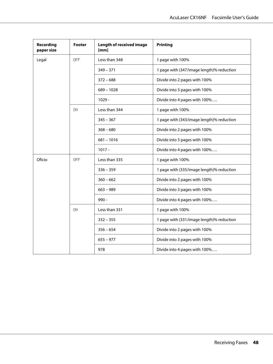| Recording<br>paper size | <b>Footer</b> | <b>Length of received image</b><br>[mm] | <b>Printing</b>                           |
|-------------------------|---------------|-----------------------------------------|-------------------------------------------|
| Legal                   | <b>OFF</b>    | Less than 348                           | 1 page with 100%                          |
|                         |               | $349 - 371$                             | 1 page with (347/image length)% reduction |
|                         |               | $372 - 688$                             | Divide into 2 pages with 100%             |
|                         |               | $689 - 1028$                            | Divide into 3 pages with 100%             |
|                         |               | $1029 -$                                | Divide into 4 pages with 100%             |
|                         | 0N            | Less than 344                           | 1 page with 100%                          |
|                         |               | $345 - 367$                             | 1 page with (343/image length)% reduction |
|                         |               | $368 - 680$                             | Divide into 2 pages with 100%             |
|                         |               | $681 - 1016$                            | Divide into 3 pages with 100%             |
|                         |               | $1017 -$                                | Divide into 4 pages with 100%             |
| Oficio                  | <b>OFF</b>    | Less than 335                           | 1 page with 100%                          |
|                         |               | $336 - 359$                             | 1 page with (335/image length)% reduction |
|                         |               | $360 - 662$                             | Divide into 2 pages with 100%             |
|                         |               | $663 - 989$                             | Divide into 3 pages with 100%             |
|                         |               | $990 -$                                 | Divide into 4 pages with 100%             |
|                         | 0N            | Less than 331                           | 1 page with 100%                          |
|                         |               | $332 - 355$                             | 1 page with (331/image length)% reduction |
|                         |               | $356 - 654$                             | Divide into 2 pages with 100%             |
|                         |               | $655 - 977$                             | Divide into 3 pages with 100%             |
|                         |               | 978                                     | Divide into 4 pages with 100%             |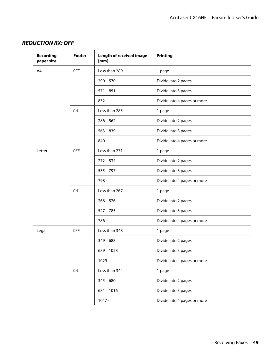| <b>Recording</b><br>paper size | Footer     | <b>Length of received image</b><br>[mm] | <b>Printing</b>             |
|--------------------------------|------------|-----------------------------------------|-----------------------------|
| A4                             | OFF.       | Less than 289                           | 1 page                      |
|                                |            | $290 - 570$                             | Divide into 2 pages         |
|                                |            | $571 - 851$                             | Divide into 3 pages         |
|                                |            | $852 -$                                 | Divide into 4 pages or more |
|                                | 0N         | Less than 285                           | 1 page                      |
|                                |            | $286 - 562$                             | Divide into 2 pages         |
|                                |            | $563 - 839$                             | Divide into 3 pages         |
|                                |            | $840 -$                                 | Divide into 4 pages or more |
| Letter                         | <b>OFF</b> | Less than 271                           | 1 page                      |
|                                |            | $272 - 534$                             | Divide into 2 pages         |
|                                |            | $535 - 797$                             | Divide into 3 pages         |
|                                |            | 798 -                                   | Divide into 4 pages or more |
|                                | 0N         | Less than 267                           | 1 page                      |
|                                |            | $268 - 526$                             | Divide into 2 pages         |
|                                |            | $527 - 785$                             | Divide into 3 pages         |
|                                |            | 786 -                                   | Divide into 4 pages or more |
| Legal                          | <b>OFF</b> | Less than 348                           | 1 page                      |
|                                |            | $349 - 688$                             | Divide into 2 pages         |
|                                |            | $689 - 1028$                            | Divide into 3 pages         |
|                                |            | $1029 -$                                | Divide into 4 pages or more |
|                                | ON         | Less than 344                           | 1 page                      |
|                                |            | $345 - 680$                             | Divide into 2 pages         |
|                                |            | $681 - 1016$                            | Divide into 3 pages         |
|                                |            | $1017 -$                                | Divide into 4 pages or more |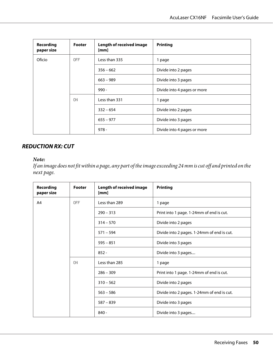| <b>Recording</b><br>paper size | <b>Footer</b> | <b>Length of received image</b><br>[mm] | <b>Printing</b>             |
|--------------------------------|---------------|-----------------------------------------|-----------------------------|
| Oficio                         | 0FF           | Less than 335                           | 1 page                      |
|                                |               | $356 - 662$                             | Divide into 2 pages         |
|                                |               | $663 - 989$                             | Divide into 3 pages         |
|                                |               | $990 -$                                 | Divide into 4 pages or more |
|                                | ΟN            | Less than 331                           | 1 page                      |
|                                |               | $332 - 654$                             | Divide into 2 pages         |
|                                |               | $655 - 977$                             | Divide into 3 pages         |
|                                |               | $978 -$                                 | Divide into 4 pages or more |

#### **REDUCTION RX: CUT**

#### *Note:*

*If an image does not fit within a page, any part of the image exceeding 24 mm is cut off and printed on the next page.*

| <b>Recording</b><br>paper size | Footer     | <b>Length of received image</b><br>[mm] | <b>Printing</b>                            |
|--------------------------------|------------|-----------------------------------------|--------------------------------------------|
| A4                             | <b>OFF</b> | Less than 289                           | 1 page                                     |
|                                |            | $290 - 313$                             | Print into 1 page. 1-24mm of end is cut.   |
|                                |            | $314 - 570$                             | Divide into 2 pages                        |
|                                |            | $571 - 594$                             | Divide into 2 pages. 1-24mm of end is cut. |
|                                |            | $595 - 851$                             | Divide into 3 pages                        |
|                                |            | $852 -$                                 | Divide into 3 pages                        |
|                                | ON         | Less than 285                           | 1 page                                     |
|                                |            | $286 - 309$                             | Print into 1 page. 1-24mm of end is cut.   |
|                                |            | $310 - 562$                             | Divide into 2 pages                        |
|                                |            | $563 - 586$                             | Divide into 2 pages. 1-24mm of end is cut. |
|                                |            | $587 - 839$                             | Divide into 3 pages                        |
|                                |            | $840 -$                                 | Divide into 3 pages                        |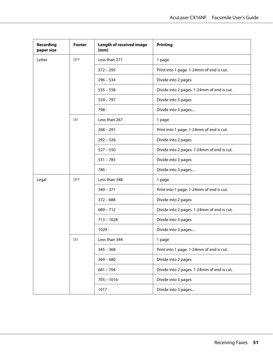| <b>Recording</b><br>paper size | <b>Footer</b> | <b>Length of received image</b><br>[mm] | Printing                                   |
|--------------------------------|---------------|-----------------------------------------|--------------------------------------------|
| Letter                         | <b>OFF</b>    | Less than 271                           | 1 page                                     |
|                                |               | $272 - 295$                             | Print into 1 page. 1-24mm of end is cut.   |
|                                |               | $296 - 534$                             | Divide into 2 pages                        |
|                                |               | $535 - 558$                             | Divide into 2 pages. 1-24mm of end is cut. |
|                                |               | $559 - 797$                             | Divide into 3 pages                        |
|                                |               | 798 -                                   | Divide into 3 pages                        |
|                                | ΟN            | Less than 267                           | 1 page                                     |
|                                |               | $268 - 291$                             | Print into 1 page. 1-24mm of end is cut.   |
|                                |               | $292 - 526$                             | Divide into 2 pages                        |
|                                |               | $527 - 550$                             | Divide into 2 pages. 1-24mm of end is cut. |
|                                |               | $551 - 785$                             | Divide into 3 pages                        |
|                                |               | 786 -                                   | Divide into 3 pages                        |
| Legal                          | <b>OFF</b>    | Less than 348                           | 1 page                                     |
|                                |               | $349 - 371$                             | Print into 1 page. 1-24mm of end is cut.   |
|                                |               | $372 - 688$                             | Divide into 2 pages                        |
|                                |               | $689 - 712$                             | Divide into 2 pages. 1-24mm of end is cut. |
|                                |               | $713 - 1028$                            | Divide into 3 pages                        |
|                                |               | $1029 -$                                | Divide into 3 pages                        |
|                                | ΟN            | Less than 344                           | 1 page                                     |
|                                |               | $345 - 368$                             | Print into 1 page. 1-24mm of end is cut.   |
|                                |               | $369 - 680$                             | Divide into 2 pages                        |
|                                |               | $681 - 704$                             | Divide into 2 pages. 1-24mm of end is cut. |
|                                |               | $705 - 1016$                            | Divide into 3 pages                        |
|                                |               | $1017 -$                                | Divide into 3 pages                        |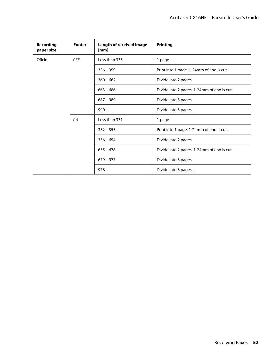| Recording<br>paper size | Footer     | <b>Length of received image</b><br>[mm] | <b>Printing</b>                            |
|-------------------------|------------|-----------------------------------------|--------------------------------------------|
| Oficio                  | <b>DEE</b> | Less than 335                           | 1 page                                     |
|                         |            | $336 - 359$                             | Print into 1 page. 1-24mm of end is cut.   |
|                         |            | $360 - 662$                             | Divide into 2 pages                        |
|                         |            | $663 - 686$                             | Divide into 2 pages. 1-24mm of end is cut. |
|                         |            | $687 - 989$                             | Divide into 3 pages                        |
|                         |            | $990 -$                                 | Divide into 3 pages                        |
|                         | ON         | Less than 331                           | 1 page                                     |
|                         |            | $332 - 355$                             | Print into 1 page. 1-24mm of end is cut.   |
|                         |            | $356 - 654$                             | Divide into 2 pages                        |
|                         |            | $655 - 678$                             | Divide into 2 pages. 1-24mm of end is cut. |
|                         |            | $679 - 977$                             | Divide into 3 pages                        |
|                         |            | $978 -$                                 | Divide into 3 pages                        |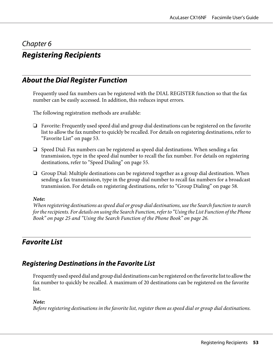### Chapter 6

# **Registering Recipients**

## **About the Dial Register Function**

Frequently used fax numbers can be registered with the DIAL REGISTER function so that the fax number can be easily accessed. In addition, this reduces input errors.

The following registration methods are available:

- ❏ Favorite: Frequently used speed dial and group dial destinations can be registered on the favorite list to allow the fax number to quickly be recalled. For details on registering destinations, refer to "Favorite List" on page 53.
- ❏ Speed Dial: Fax numbers can be registered as speed dial destinations. When sending a fax transmission, type in the speed dial number to recall the fax number. For details on registering destinations, refer to ["Speed Dialing" on page 55.](#page-54-0)
- ❏ Group Dial: Multiple destinations can be registered together as a group dial destination. When sending a fax transmission, type in the group dial number to recall fax numbers for a broadcast transmission. For details on registering destinations, refer to ["Group Dialing" on page 58.](#page-57-0)

#### *Note:*

*When registering destinations as speed dial or group dial destinations, use the Search function to search for the recipients. For details on using the Search Function, refer to ["Using the List Function of the Phone](#page-24-0) [Book" on page 25](#page-24-0) and ["Using the Search Function of the Phone Book" on page 26](#page-25-0).*

## **Favorite List**

### **Registering Destinations in the Favorite List**

Frequently used speed dial and group dial destinations can be registered on the favorite list to allow the fax number to quickly be recalled. A maximum of 20 destinations can be registered on the favorite list.

#### *Note:*

*Before registering destinations in the favorite list, register them as speed dial or group dial destinations.*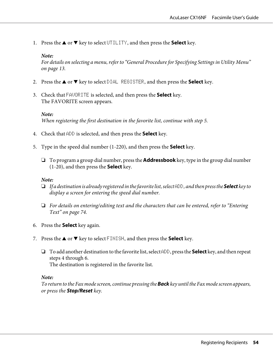1. Press the  $\triangle$  or  $\nabla$  key to select UTILITY, and then press the **Select** key.

#### *Note:*

*For details on selecting a menu, refer to ["General Procedure for Specifying Settings in Utility Menu"](#page-12-0) [on page 13](#page-12-0).*

- 2. Press the  $\triangle$  or  $\nabla$  key to select DIAL REGISTER, and then press the **Select** key.
- 3. Check that FAVORITE is selected, and then press the **Select** key. The FAVORITE screen appears.

#### *Note:*

*When registering the first destination in the favorite list, continue with step 5.*

- 4. Check that ADD is selected, and then press the **Select** key.
- 5. Type in the speed dial number (1-220), and then press the **Select** key.
	- ❏ To program a group dial number, press the **Addressbook** key, type in the group dial number (1-20), and then press the **Select** key.

#### *Note:*

- ❏ *If a destination is already registered in the favorite list, select* ADD*, and then press the* **Select** *key to display a screen for entering the speed dial number.*
- ❏ *For details on entering/editing text and the characters that can be entered, refer to ["Entering](#page-73-0) [Text" on page 74](#page-73-0).*
- 6. Press the **Select** key again.
- 7. Press the  $\triangle$  or  $\nabla$  key to select FINISH, and then press the **Select** key.
	- ❏ To add another destination to the favorite list, select ADD, press the **Select** key, and then repeat steps 4 through 6. The destination is registered in the favorite list.

#### *Note:*

*To return to the Fax mode screen, continue pressing the* **Back** *key until the Fax mode screen appears, or press the* **Stop/Reset** *key.*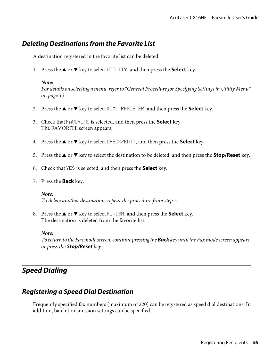### <span id="page-54-0"></span>**Deleting Destinations from the Favorite List**

A destination registered in the favorite list can be deleted.

1. Press the  $\triangle$  or  $\nabla$  key to select UTILITY, and then press the **Select** key.

#### *Note:*

*For details on selecting a menu, refer to ["General Procedure for Specifying Settings in Utility Menu"](#page-12-0) [on page 13](#page-12-0).*

- 2. Press the  $\triangle$  or  $\nabla$  key to select DIAL REGISTER, and then press the **Select** key.
- 3. Check that FAVORITE is selected, and then press the **Select** key. The FAVORITE screen appears.
- 4. Press the  $\blacktriangle$  or  $\nabla$  key to select CHECK/EDIT, and then press the **Select** key.
- 5. Press the  $\triangle$  or  $\nabla$  key to select the destination to be deleted, and then press the **Stop/Reset** key.
- 6. Check that YES is selected, and then press the **Select** key.
- 7. Press the **Back** key.

#### *Note:*

*To delete another destination, repeat the procedure from step 5.*

8. Press the  $\triangle$  or  $\nabla$  key to select FINISH, and then press the **Select** key. The destination is deleted from the favorite list.

#### *Note:*

*To return to the Fax mode screen, continue pressing the* **Back** *key until the Fax mode screen appears, or press the* **Stop/Reset** *key.*

## **Speed Dialing**

### **Registering a Speed Dial Destination**

Frequently specified fax numbers (maximum of 220) can be registered as speed dial destinations. In addition, batch transmission settings can be specified.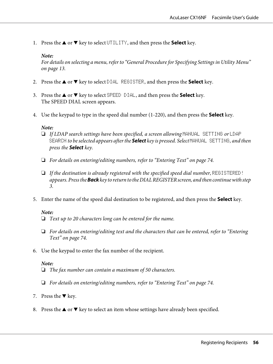1. Press the  $\triangle$  or  $\nabla$  key to select UTILITY, and then press the **Select** key.

#### *Note:*

*For details on selecting a menu, refer to ["General Procedure for Specifying Settings in Utility Menu"](#page-12-0) [on page 13](#page-12-0).*

- 2. Press the  $\blacktriangle$  or  $\nabla$  key to select DIAL REGISTER, and then press the **Select** key.
- 3. Press the  $\blacktriangle$  or  $\nabla$  key to select SPEED DIAL, and then press the **Select** key. The SPEED DIAL screen appears.
- 4. Use the keypad to type in the speed dial number (1-220), and then press the **Select** key.

#### *Note:*

- ❏ *If LDAP search settings have been specified, a screen allowing* MANUAL SETTING *or* LDAP SEARCH *to be selected appears after the* **Select** *key is pressed. Select* MANUAL SETTING*, and then press the* **Select** *key.*
- ❏ *For details on entering/editing numbers, refer to ["Entering Text" on page 74.](#page-73-0)*
- ❏ *If the destination is already registered with the specified speed dial number,* REGISTERED! *appears. Press the* **Back** *key to return to the DIAL REGISTER screen, and then continue with step 3.*
- 5. Enter the name of the speed dial destination to be registered, and then press the **Select** key.

#### *Note:*

- ❏ *Text up to 20 characters long can be entered for the name.*
- ❏ *For details on entering/editing text and the characters that can be entered, refer to ["Entering](#page-73-0) [Text" on page 74](#page-73-0).*
- 6. Use the keypad to enter the fax number of the recipient.

#### *Note:*

- ❏ *The fax number can contain a maximum of 50 characters.*
- ❏ *For details on entering/editing numbers, refer to ["Entering Text" on page 74.](#page-73-0)*
- 7. Press the  $\nabla$  key.
- 8. Press the  $\blacktriangle$  or  $\nabla$  key to select an item whose settings have already been specified.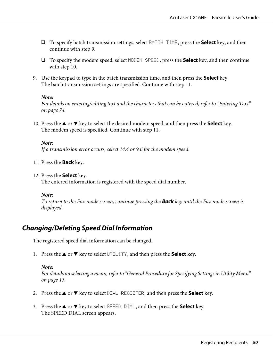- ❏ To specify batch transmission settings, select BATCH TIME, press the **Select** key, and then continue with step 9.
- ❏ To specify the modem speed, select MODEM SPEED, press the **Select** key, and then continue with step 10.
- 9. Use the keypad to type in the batch transmission time, and then press the **Select** key. The batch transmission settings are specified. Continue with step 11.

*For details on entering/editing text and the characters that can be entered, refer to ["Entering Text"](#page-73-0) [on page 74](#page-73-0).*

10. Press the  $\blacktriangle$  or  $\nabla$  key to select the desired modem speed, and then press the **Select** key. The modem speed is specified. Continue with step 11.

#### *Note:*

*If a transmission error occurs, select 14.4 or 9.6 for the modem speed.*

11. Press the **Back** key.

#### 12. Press the **Select** key.

The entered information is registered with the speed dial number.

#### *Note:*

*To return to the Fax mode screen, continue pressing the* **Back** *key until the Fax mode screen is displayed.*

### **Changing/Deleting Speed Dial Information**

The registered speed dial information can be changed.

1. Press the  $\triangle$  or  $\nabla$  key to select UTILITY, and then press the **Select** key.

#### *Note:*

*For details on selecting a menu, refer to ["General Procedure for Specifying Settings in Utility Menu"](#page-12-0) [on page 13](#page-12-0).*

- 2. Press the  $\blacktriangle$  or  $\nabla$  key to select DIAL REGISTER, and then press the **Select** key.
- 3. Press the  $\blacktriangle$  or  $\nabla$  key to select SPEED DIAL, and then press the **Select** key. The SPEED DIAL screen appears.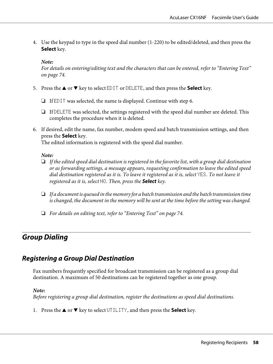<span id="page-57-0"></span>4. Use the keypad to type in the speed dial number (1-220) to be edited/deleted, and then press the **Select** key.

*Note:*

*For details on entering/editing text and the characters that can be entered, refer to ["Entering Text"](#page-73-0) [on page 74](#page-73-0).*

- 5. Press the  $\blacktriangle$  or  $\nabla$  key to select EDIT or DELETE, and then press the **Select** key.
	- ❏ If EDIT was selected, the name is displayed. Continue with step 6.
	- ❏ If DELETE was selected, the settings registered with the speed dial number are deleted. This completes the procedure when it is deleted.
- 6. If desired, edit the name, fax number, modem speed and batch transmission settings, and then press the **Select** key.

The edited information is registered with the speed dial number.

#### *Note:*

- ❏ *If the edited speed dial destination is registered in the favorite list, with a group dial destination or as forwarding settings, a message appears, requesting confirmation to leave the edited speed dial destination registered as it is. To leave it registered as it is, select*  $YES$ *. To not leave it registered as it is, select* NO*. Then, press the* **Select** *key.*
- ❏ *If a document is queued in the memory for a batch transmission and the batch transmission time is changed, the document in the memory will be sent at the time before the setting was changed.*
- ❏ *For details on editing text, refer to ["Entering Text" on page 74.](#page-73-0)*

### **Group Dialing**

### **Registering a Group Dial Destination**

Fax numbers frequently specified for broadcast transmission can be registered as a group dial destination. A maximum of 50 destinations can be registered together as one group.

#### *Note:*

*Before registering a group dial destination, register the destinations as speed dial destinations.*

1. Press the  $\triangle$  or  $\nabla$  key to select UTILITY, and then press the **Select** key.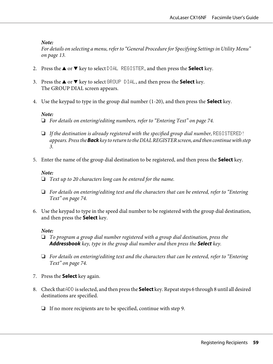*For details on selecting a menu, refer to ["General Procedure for Specifying Settings in Utility Menu"](#page-12-0) [on page 13](#page-12-0).*

- 2. Press the  $\triangle$  or  $\nabla$  key to select DIAL REGISTER, and then press the **Select** key.
- 3. Press the  $\blacktriangle$  or  $\nabla$  key to select GROUP DIAL, and then press the **Select** key. The GROUP DIAL screen appears.
- 4. Use the keypad to type in the group dial number (1-20), and then press the **Select** key.

#### *Note:*

- ❏ *For details on entering/editing numbers, refer to ["Entering Text" on page 74.](#page-73-0)*
- ❏ *If the destination is already registered with the specified group dial number,* REGISTERED! *appears. Press the* **Back** *key to return to the DIAL REGISTER screen, and then continue with step 3.*
- 5. Enter the name of the group dial destination to be registered, and then press the **Select** key.

#### *Note:*

- ❏ *Text up to 20 characters long can be entered for the name.*
- ❏ *For details on entering/editing text and the characters that can be entered, refer to ["Entering](#page-73-0) [Text" on page 74](#page-73-0).*
- 6. Use the keypad to type in the speed dial number to be registered with the group dial destination, and then press the **Select** key.

#### *Note:*

- ❏ *To program a group dial number registered with a group dial destination, press the* **Addressbook** *key, type in the group dial number and then press the* **Select** *key.*
- ❏ *For details on entering/editing text and the characters that can be entered, refer to ["Entering](#page-73-0) [Text" on page 74](#page-73-0).*
- 7. Press the **Select** key again.
- 8. Check that ADD is selected, and then press the **Select** key. Repeat steps 6 through 8 until all desired destinations are specified.
	- ❏ If no more recipients are to be specified, continue with step 9.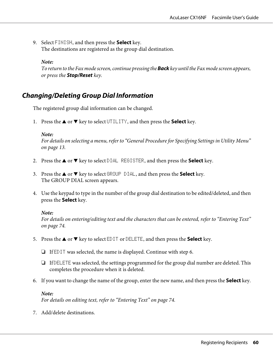9. Select FINISH, and then press the **Select** key. The destinations are registered as the group dial destination.

*Note:*

*To return to the Fax mode screen, continue pressing the* **Back** *key until the Fax mode screen appears, or press the* **Stop/Reset** *key.*

### **Changing/Deleting Group Dial Information**

The registered group dial information can be changed.

1. Press the  $\triangle$  or  $\nabla$  key to select UTILITY, and then press the **Select** key.

#### *Note:*

*For details on selecting a menu, refer to ["General Procedure for Specifying Settings in Utility Menu"](#page-12-0) [on page 13](#page-12-0).*

- 2. Press the  $\triangle$  or  $\nabla$  key to select DIAL REGISTER, and then press the **Select** key.
- 3. Press the  $\blacktriangle$  or  $\nabla$  key to select GROUP DIAL, and then press the **Select** key. The GROUP DIAL screen appears.
- 4. Use the keypad to type in the number of the group dial destination to be edited/deleted, and then press the **Select** key.

#### *Note:*

*For details on entering/editing text and the characters that can be entered, refer to ["Entering Text"](#page-73-0) [on page 74](#page-73-0).*

- 5. Press the  $\triangle$  or  $\nabla$  key to select EDIT or DELETE, and then press the **Select** key.
	- $\Box$  If EDIT was selected, the name is displayed. Continue with step 6.
	- ❏ If DELETE was selected, the settings programmed for the group dial number are deleted. This completes the procedure when it is deleted.
- 6. If you want to change the name of the group, enter the new name, and then press the **Select** key.

#### *Note:*

*For details on editing text, refer to ["Entering Text" on page 74.](#page-73-0)*

7. Add/delete destinations.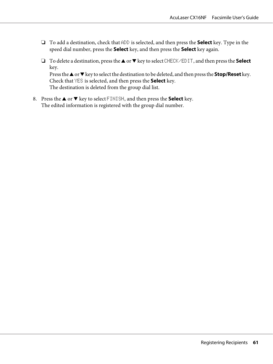- ❏ To add a destination, check that ADD is selected, and then press the **Select** key. Type in the speed dial number, press the **Select** key, and then press the **Select** key again.
- ❏ To delete a destination, press the u or d key to select CHECK/EDIT, and then press the **Select** key.

Press the  $\triangle$  or  $\nabla$  key to select the destination to be deleted, and then press the **Stop/Reset** key. Check that YES is selected, and then press the **Select** key. The destination is deleted from the group dial list.

8. Press the  $\triangle$  or  $\nabla$  key to select FINISH, and then press the **Select** key. The edited information is registered with the group dial number.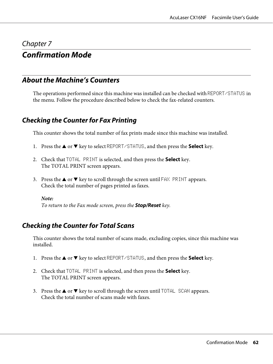### Chapter 7

# **Confirmation Mode**

## **About the Machine's Counters**

The operations performed since this machine was installed can be checked with REPORT/STATUS in the menu. Follow the procedure described below to check the fax-related counters.

### **Checking the Counter for Fax Printing**

This counter shows the total number of fax prints made since this machine was installed.

- 1. Press the  $\blacktriangle$  or  $\nabla$  key to select REPORT/STATUS, and then press the **Select** key.
- 2. Check that TOTAL PRINT is selected, and then press the **Select** key. The TOTAL PRINT screen appears.
- 3. Press the  $\blacktriangle$  or  $\nabla$  key to scroll through the screen until FAX PRINT appears. Check the total number of pages printed as faxes.

#### *Note:*

*To return to the Fax mode screen, press the* **Stop/Reset** *key.*

### **Checking the Counter for Total Scans**

This counter shows the total number of scans made, excluding copies, since this machine was installed.

- 1. Press the  $\blacktriangle$  or  $\nabla$  key to select REPORT/STATUS, and then press the **Select** key.
- 2. Check that TOTAL PRINT is selected, and then press the **Select** key. The TOTAL PRINT screen appears.
- 3. Press the  $\blacktriangle$  or  $\nabla$  key to scroll through the screen until TOTAL SCAN appears. Check the total number of scans made with faxes.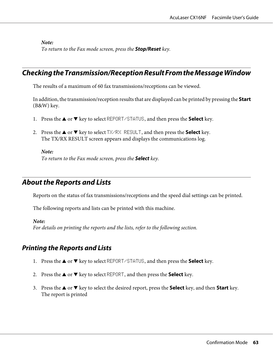*To return to the Fax mode screen, press the* **Stop/Reset** *key.*

## **Checking the Transmission/Reception Result From the Message Window**

The results of a maximum of 60 fax transmissions/receptions can be viewed.

In addition, the transmission/reception results that are displayed can be printed by pressing the **Start** (B&W) key.

- 1. Press the  $\blacktriangle$  or  $\nabla$  key to select REPORT/STATUS, and then press the **Select** key.
- 2. Press the  $\triangle$  or  $\nabla$  key to select TX/RX RESULT, and then press the **Select** key. The TX/RX RESULT screen appears and displays the communications log.

*Note:*

*To return to the Fax mode screen, press the* **Select** *key.*

## **About the Reports and Lists**

Reports on the status of fax transmissions/receptions and the speed dial settings can be printed.

The following reports and lists can be printed with this machine.

*Note:*

*For details on printing the reports and the lists, refer to the following section.*

### **Printing the Reports and Lists**

- 1. Press the  $\triangle$  or  $\nabla$  key to select REPORT/STATUS, and then press the **Select** key.
- 2. Press the  $\triangle$  or  $\nabla$  key to select REPORT, and then press the **Select** key.
- 3. Press the  $\triangle$  or  $\nabla$  key to select the desired report, press the **Select** key, and then **Start** key. The report is printed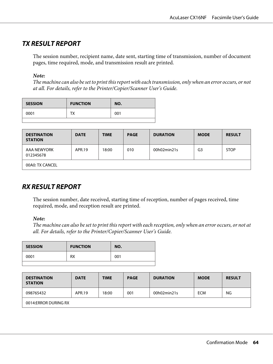## **TX RESULT REPORT**

The session number, recipient name, date sent, starting time of transmission, number of document pages, time required, mode, and transmission result are printed.

#### *Note:*

*The machine can also be set to print this report with each transmission, only when an error occurs, or not at all. For details, refer to the Printer/Copier/Scanner User's Guide.*

| <b>SESSION</b> | <b>FUNCTION</b> | NO. |
|----------------|-----------------|-----|
| 0001           | тх              | 001 |
|                |                 |     |

| <b>DESTINATION</b><br><b>STATION</b> | <b>DATE</b> | <b>TIME</b> | <b>PAGE</b> | <b>DURATION</b> | <b>MODE</b>    | <b>RESULT</b> |
|--------------------------------------|-------------|-------------|-------------|-----------------|----------------|---------------|
| AAA NEWYORK<br>012345678             | APR.19      | 18:00       | 010         | 00h02min21s     | G <sub>3</sub> | <b>STOP</b>   |
| 00A0: TX CANCEL                      |             |             |             |                 |                |               |

## **RX RESULT REPORT**

The session number, date received, starting time of reception, number of pages received, time required, mode, and reception result are printed.

#### *Note:*

*The machine can also be set to print this report with each reception, only when an error occurs, or not at all. For details, refer to the Printer/Copier/Scanner User's Guide.*

| <b>SESSION</b> | <b>FUNCTION</b> | NO. |
|----------------|-----------------|-----|
| 0001           | RX              | 001 |
|                |                 |     |

| <b>DESTINATION</b><br><b>STATION</b> | <b>DATE</b> | <b>TIME</b> | <b>PAGE</b> | <b>DURATION</b> | <b>MODE</b> | <b>RESULT</b> |
|--------------------------------------|-------------|-------------|-------------|-----------------|-------------|---------------|
| 098765432                            | APR.19      | 18:00       | 001         | 00h02min21s     | <b>ECM</b>  | NG            |
| 0014:ERROR DURING RX                 |             |             |             |                 |             |               |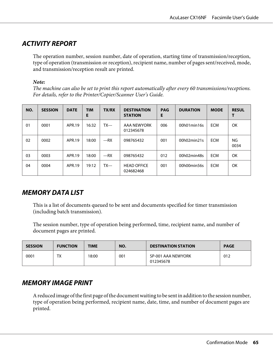## **ACTIVITY REPORT**

The operation number, session number, date of operation, starting time of transmission/reception, type of operation (transmission or reception), recipient name, number of pages sent/received, mode, and transmission/reception result are printed.

#### *Note:*

*The machine can also be set to print this report automatically after every 60 transmissions/receptions. For details, refer to the Printer/Copier/Scanner User's Guide.*

| NO. | <b>SESSION</b> | <b>DATE</b> | <b>TIM</b><br>E | <b>TX/RX</b> | <b>DESTINATION</b><br><b>STATION</b> | <b>PAG</b><br>Е | <b>DURATION</b> | <b>MODE</b> | <b>RESUL</b> |
|-----|----------------|-------------|-----------------|--------------|--------------------------------------|-----------------|-----------------|-------------|--------------|
| 01  | 0001           | APR.19      | 16:32           | $TX--$       | AAA NEWYORK<br>012345678             | 006             | 00h01min16s     | <b>ECM</b>  | OK           |
| 02  | 0002           | APR.19      | 18:00           | $--RX$       | 098765432                            | 001             | 00h02min21s     | <b>ECM</b>  | NG<br>0034   |
| 03  | 0003           | APR.19      | 18:00           | $--RX$       | 098765432                            | 012             | 00h02min48s     | <b>ECM</b>  | OK           |
| 04  | 0004           | APR.19      | 19:12           | $TX--$       | <b>HEAD OFFICE</b><br>024682468      | 001             | 00h00min56s     | <b>ECM</b>  | OK           |

## **MEMORY DATA LIST**

This is a list of documents queued to be sent and documents specified for timer transmission (including batch transmission).

The session number, type of operation being performed, time, recipient name, and number of document pages are printed.

| <b>SESSION</b> | <b>FUNCTION</b> | <b>TIME</b> | NO. | <b>DESTINATION STATION</b>      | <b>PAGE</b> |
|----------------|-----------------|-------------|-----|---------------------------------|-------------|
| 0001           | тv<br>^ י       | 18:00       | 001 | SP-001 AAA NEWYORK<br>012345678 | 012         |

## **MEMORY IMAGE PRINT**

A reduced image of the first page of the document waiting to be sent in addition to the session number, type of operation being performed, recipient name, date, time, and number of document pages are printed.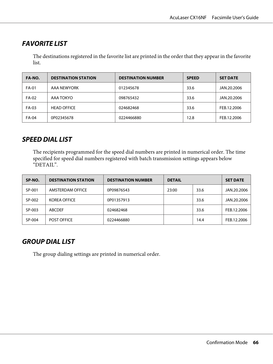## **FAVORITE LIST**

The destinations registered in the favorite list are printed in the order that they appear in the favorite list.

| FA-NO.       | <b>DESTINATION STATION</b> | <b>DESTINATION NUMBER</b> | <b>SPEED</b> | <b>SET DATE</b> |
|--------------|----------------------------|---------------------------|--------------|-----------------|
| <b>FA-01</b> | AAA NEWYORK                | 012345678                 | 33.6         | JAN.20.2006     |
| FA-02        | AAA TOKYO                  | 098765432                 | 33.6         | JAN.20.2006     |
| FA-03        | <b>HEAD OFFICE</b>         | 024682468                 | 33.6         | FEB.12.2006     |
| FA-04        | 0P02345678                 | 0224466880                | 12.8         | FEB.12.2006     |

### **SPEED DIAL LIST**

The recipients programmed for the speed dial numbers are printed in numerical order. The time specified for speed dial numbers registered with batch transmission settings appears below "DETAIL".

| SP-NO. | <b>DESTINATION STATION</b> | <b>DESTINATION NUMBER</b> | <b>DETAIL</b> |      | <b>SET DATE</b> |
|--------|----------------------------|---------------------------|---------------|------|-----------------|
| SP-001 | AMSTERDAM OFFICE           | 0P09876543                | 23:00         | 33.6 | JAN.20.2006     |
| SP-002 | <b>KOREA OFFICE</b>        | 0P01357913                |               | 33.6 | JAN.20.2006     |
| SP-003 | <b>ABCDEF</b>              | 024682468                 |               | 33.6 | FEB.12.2006     |
| SP-004 | <b>POST OFFICE</b>         | 0224466880                |               | 14.4 | FEB.12.2006     |

## **GROUP DIAL LIST**

The group dialing settings are printed in numerical order.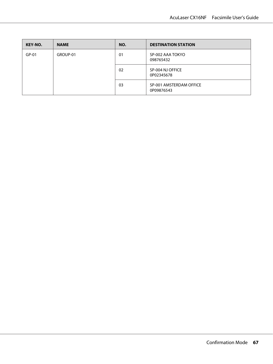| KEY-NO. | <b>NAME</b> | NO. | <b>DESTINATION STATION</b>            |
|---------|-------------|-----|---------------------------------------|
| $GP-01$ | GROUP-01    | 01  | SP-002 AAA TOKYO<br>098765432         |
|         |             | 02  | SP-004 NJ OFFICE<br>0P02345678        |
|         |             | 03  | SP-001 AMSTERDAM OFFICE<br>0P09876543 |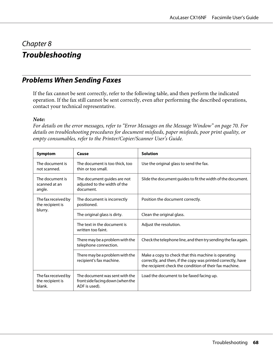### Chapter 8

# **Troubleshooting**

## **Problems When Sending Faxes**

If the fax cannot be sent correctly, refer to the following table, and then perform the indicated operation. If the fax still cannot be sent correctly, even after performing the described operations, contact your technical representative.

#### *Note:*

*For details on the error messages, refer to ["Error Messages on the Message Window" on page 70.](#page-69-0) For details on troubleshooting procedures for document misfeeds, paper misfeeds, poor print quality, or empty consumables, refer to the Printer/Copier/Scanner User's Guide.*

| Symptom                                           | Cause                                                                               | <b>Solution</b>                                                                                                                                                                |
|---------------------------------------------------|-------------------------------------------------------------------------------------|--------------------------------------------------------------------------------------------------------------------------------------------------------------------------------|
| The document is<br>not scanned.                   | The document is too thick, too<br>thin or too small.                                | Use the original glass to send the fax.                                                                                                                                        |
| The document is<br>scanned at an<br>angle.        | The document guides are not<br>adjusted to the width of the<br>document.            | Slide the document guides to fit the width of the document.                                                                                                                    |
| The fax received by<br>the recipient is           | The document is incorrectly<br>positioned.                                          | Position the document correctly.                                                                                                                                               |
| blurry.                                           | The original glass is dirty.                                                        | Clean the original glass.                                                                                                                                                      |
|                                                   | The text in the document is<br>written too faint.                                   | Adjust the resolution.                                                                                                                                                         |
|                                                   | There may be a problem with the<br>telephone connection.                            | Check the telephone line, and then try sending the fax again.                                                                                                                  |
|                                                   | There may be a problem with the<br>recipient's fax machine.                         | Make a copy to check that this machine is operating<br>correctly, and then, if the copy was printed correctly, have<br>the recipient check the condition of their fax machine. |
| The fax received by<br>the recipient is<br>blank. | The document was sent with the<br>front side facing down (when the<br>ADF is used). | Load the document to be faxed facing up.                                                                                                                                       |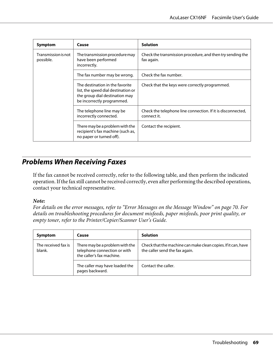| Symptom                          | Cause                                                                                                                                  | <b>Solution</b>                                                            |
|----------------------------------|----------------------------------------------------------------------------------------------------------------------------------------|----------------------------------------------------------------------------|
| Transmission is not<br>possible. | The transmission procedure may<br>have been performed<br>incorrectly.                                                                  | Check the transmission procedure, and then try sending the<br>fax again.   |
|                                  | The fax number may be wrong.                                                                                                           | Check the fax number.                                                      |
|                                  | The destination in the favorite<br>list, the speed dial destination or<br>the group dial destination may<br>be incorrectly programmed. | Check that the keys were correctly programmed.                             |
|                                  | The telephone line may be<br>incorrectly connected.                                                                                    | Check the telephone line connection. If it is disconnected,<br>connect it. |
|                                  | There may be a problem with the<br>recipient's fax machine (such as,<br>no paper or turned off).                                       | Contact the recipient.                                                     |

## **Problems When Receiving Faxes**

If the fax cannot be received correctly, refer to the following table, and then perform the indicated operation. If the fax still cannot be received correctly, even after performing the described operations, contact your technical representative.

#### *Note:*

*For details on the error messages, refer to ["Error Messages on the Message Window" on page 70.](#page-69-0) For details on troubleshooting procedures for document misfeeds, paper misfeeds, poor print quality, or empty toner, refer to the Printer/Copier/Scanner User's Guide.*

| Symptom                       | Cause                                                                                        | <b>Solution</b>                                                                                 |
|-------------------------------|----------------------------------------------------------------------------------------------|-------------------------------------------------------------------------------------------------|
| The received fax is<br>blank. | There may be a problem with the<br>telephone connection or with<br>the caller's fax machine. | Check that the machine can make clean copies. If it can, have<br>the caller send the fax again. |
|                               | The caller may have loaded the<br>pages backward.                                            | Contact the caller.                                                                             |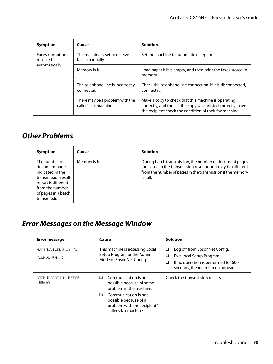<span id="page-69-0"></span>

| Symptom                                       | Cause                                                    | <b>Solution</b>                                                                                                                                                                |  |
|-----------------------------------------------|----------------------------------------------------------|--------------------------------------------------------------------------------------------------------------------------------------------------------------------------------|--|
| Faxes cannot be<br>received<br>automatically. | The machine is set to receive<br>faxes manually.         | Set the machine to automatic reception.                                                                                                                                        |  |
|                                               | Memory is full.                                          | Load paper if it is empty, and then print the faxes stored in<br>memory.                                                                                                       |  |
|                                               | The telephone line is incorrectly<br>connected.          | Check the telephone line connection. If it is disconnected,<br>connect it.                                                                                                     |  |
|                                               | There may be a problem with the<br>caller's fax machine. | Make a copy to check that this machine is operating<br>correctly, and then, if the copy was printed correctly, have<br>the recipient check the condition of their fax machine. |  |

# **Other Problems**

| Symptom                                                                                                                                                      | Cause           | <b>Solution</b>                                                                                                                                                                                   |
|--------------------------------------------------------------------------------------------------------------------------------------------------------------|-----------------|---------------------------------------------------------------------------------------------------------------------------------------------------------------------------------------------------|
| The number of<br>document pages<br>indicated in the<br>transmission result<br>report is different<br>from the number<br>of pages in a batch<br>transmission. | Memory is full. | During batch transmission, the number of document pages<br>indicated in the transmission result report may be different<br>from the number of pages in the transmission if the memory<br>is full. |

# **Error Messages on the Message Window**

| Error message                      | Cause                                                                                                      | <b>Solution</b>                                                                                                                                        |
|------------------------------------|------------------------------------------------------------------------------------------------------------|--------------------------------------------------------------------------------------------------------------------------------------------------------|
| ADMINISTERED BY PC<br>PLEASE WAIT! | This machine is accessing Local<br>Setup Program or the Admin.<br>Mode of EpsonNet Config.                 | Log off from EpsonNet Config.<br>❏<br>Exit Local Setup Program.<br>❏<br>If no operation is performed for 600<br>❏<br>seconds, the main screen appears. |
| COMMUNICATION ERROR<br>(井井井)       | Communication is not<br>possible because of some<br>problem in the machine.                                | Check the transmission results.                                                                                                                        |
|                                    | Communication is not<br>⊔<br>possible because of a<br>problem with the recipient/<br>caller's fax machine. |                                                                                                                                                        |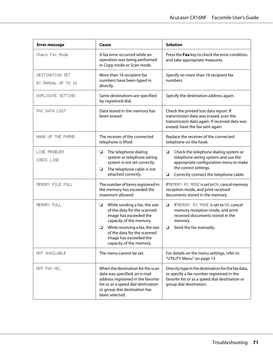| <b>Error message</b>                  | Cause                                                                                                                                                                                                                                                   | <b>Solution</b>                                                                                                                                                                                          |
|---------------------------------------|---------------------------------------------------------------------------------------------------------------------------------------------------------------------------------------------------------------------------------------------------------|----------------------------------------------------------------------------------------------------------------------------------------------------------------------------------------------------------|
| Check Fax Mode                        | A fax error occurred while an<br>operation was being performed<br>in Copy mode or Scan mode.                                                                                                                                                            | Press the Fax key to check the error condition,<br>and take appropriate measures.                                                                                                                        |
| DESTINATION SET<br>BY MANUAL UP TO 16 | More than 16 recipient fax<br>numbers have been typed in<br>directly.                                                                                                                                                                                   | Specify no more than 16 recipient fax<br>numbers.                                                                                                                                                        |
| <b>DUPLICATE SETTING</b>              | Same destinations are specified<br>by registered dial.                                                                                                                                                                                                  | Specify the destination address again.                                                                                                                                                                   |
| FAX DATA LOST                         | Data stored in the memory has<br>been erased.                                                                                                                                                                                                           | Check the printed lost data report. If<br>transmission data was erased, scan the<br>transmission data again. If received data was<br>erased, have the fax sent again.                                    |
| HANG UP THE PHONE                     | The receiver of the connected<br>telephone is lifted.                                                                                                                                                                                                   | Replace the receiver of the connected<br>telephone on the hook.                                                                                                                                          |
| LINE PROBLEM<br>CHECK LINE            | The telephone dialing<br>❏<br>system or telephone wiring<br>system is not set correctly.<br>The telephone cable is not<br>$\Box$<br>attached correctly.                                                                                                 | $\Box$<br>Check the telephone dialing system or<br>telephone wiring system and use the<br>appropriate configuration menu to make<br>the correct settings.<br>Correctly connect the telephone cable.<br>❏ |
| MEMORY FILE FULL                      | The number of items registered in<br>the memory has exceeded the<br>maximum allowed.                                                                                                                                                                    | IfMEMORY RX MODE is set to ON, cancel memory<br>reception mode, and print received<br>documents stored in the memory.                                                                                    |
| MEMORY FULL                           | While sending a fax, the size<br>❏<br>of the data for the scanned<br>image has exceeded the<br>capacity of the memory.<br>While receiving a fax, the size<br>$\Box$<br>of the data for the scanned<br>image has exceeded the<br>capacity of the memory. | $\Box$<br>If MEMORY RX MODE is set to ON, cancel<br>memory reception mode, and print<br>received documents stored in the<br>memory.<br>Send the fax manually.<br>$\Box$                                  |
| NOT AVAILABLE                         | The menu cannot be set.                                                                                                                                                                                                                                 | For details on the menu settings, refer to<br>"UTILITY Menu" on page 13                                                                                                                                  |
| NOT FAX NO.                           | When the destination for the scan<br>data was specified, an e-mail<br>address registered in the favorite<br>list or as a speed dial destination<br>or group dial destination has<br>been selected.                                                      | Directly type in the destination for the fax data,<br>or specify a fax number registered in the<br>favorite list or as a speed dial destination or<br>group dial destination.                            |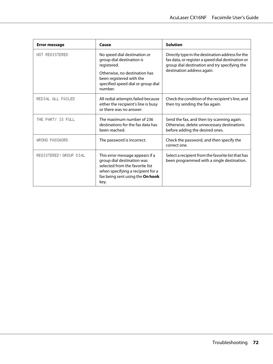| <b>Error message</b>   | Cause                                                                                                                                                                                  | <b>Solution</b>                                                                                                                                                                      |
|------------------------|----------------------------------------------------------------------------------------------------------------------------------------------------------------------------------------|--------------------------------------------------------------------------------------------------------------------------------------------------------------------------------------|
| NOT REGISTERED         | No speed dial destination or<br>group dial destination is<br>registered.<br>Otherwise, no destination has<br>been registered with the<br>specified speed dial or group dial<br>number. | Directly type in the destination address for the<br>fax data, or register a speed dial destination or<br>group dial destination and try specifying the<br>destination address again. |
| REDIAL ALL FAILED      | All redial attempts failed because<br>either the recipient's line is busy<br>or there was no answer.                                                                                   | Check the condition of the recipient's line, and<br>then try sending the fax again.                                                                                                  |
| THE PARTY IS FULL      | The maximum number of 236<br>destinations for the fax data has<br>been reached.                                                                                                        | Send the fax, and then try scanning again.<br>Otherwise, delete unnecessary destinations<br>before adding the desired ones.                                                          |
| WRONG PASSWORD         | The password is incorrect.                                                                                                                                                             | Check the password, and then specify the<br>correct one.                                                                                                                             |
| REGISTERED! GROUP DIAL | This error message appears if a<br>group dial destination was<br>selected from the favorite list<br>when specifying a recipient for a<br>fax being sent using the On hook<br>key.      | Select a recipient from the favorite list that has<br>been programmed with a single destination.                                                                                     |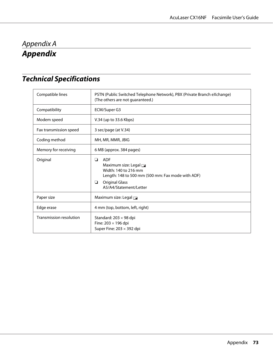## <span id="page-72-0"></span>Appendix A **Appendix**

## **Technical Specifications**

| Compatible lines        | PSTN (Public Switched Telephone Network), PBX (Private Branch eXchange)<br>(The others are not guaranteed.)                                                                        |
|-------------------------|------------------------------------------------------------------------------------------------------------------------------------------------------------------------------------|
| Compatibility           | ECM/Super G3                                                                                                                                                                       |
| Modem speed             | V.34 (up to 33.6 Kbps)                                                                                                                                                             |
| Fax transmission speed  | 3 sec/page (at V.34)                                                                                                                                                               |
| Coding method           | MH, MR, MMR, JBIG                                                                                                                                                                  |
| Memory for receiving    | 6 MB (approx. 384 pages)                                                                                                                                                           |
| Original                | <b>ADF</b><br>❏<br>Maximum size: Legal $\Box$<br>Width: 140 to 216 mm<br>Length: 148 to 500 mm (500 mm: Fax mode with ADF)<br><b>Original Glass</b><br>□<br>A5/A4/Statement/Letter |
| Paper size              | Maximum size: Legal                                                                                                                                                                |
| Edge erase              | 4 mm (top, bottom, left, right)                                                                                                                                                    |
| Transmission resolution | Standard: $203 \times 98$ dpi<br>Fine: 203 × 196 dpi<br>Super Fine: $203 \times 392$ dpi                                                                                           |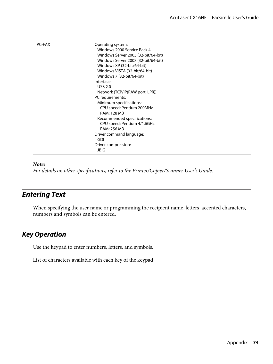<span id="page-73-0"></span>

| <b>PC-FAX</b> | Operating system:<br>Windows 2000 Service Pack 4<br>Windows Server 2003 (32-bit/64-bit)<br>Windows Server 2008 (32-bit/64-bit)<br>Windows XP (32-bit/64-bit)<br>Windows VISTA (32-bit/64-bit)<br>Windows 7 (32-bit/64-bit)<br>Interface:<br><b>USB 2.0</b><br>Network (TCP/IP(RAW port, LPR))<br>PC requirements:<br>Minimum specifications:<br>CPU speed: Pentium 200MHz<br><b>RAM: 128 MB</b><br>Recommended specifications:<br>CPU speed: Pentium 4/1.6GHz<br><b>RAM: 256 MB</b><br>Driver command language:<br>GDI<br>Driver compression: |
|---------------|-----------------------------------------------------------------------------------------------------------------------------------------------------------------------------------------------------------------------------------------------------------------------------------------------------------------------------------------------------------------------------------------------------------------------------------------------------------------------------------------------------------------------------------------------|
|               | <b>JBIG</b>                                                                                                                                                                                                                                                                                                                                                                                                                                                                                                                                   |

#### *Note:*

*For details on other specifications, refer to the Printer/Copier/Scanner User's Guide.*

### **Entering Text**

When specifying the user name or programming the recipient name, letters, accented characters, numbers and symbols can be entered.

#### **Key Operation**

Use the keypad to enter numbers, letters, and symbols.

List of characters available with each key of the keypad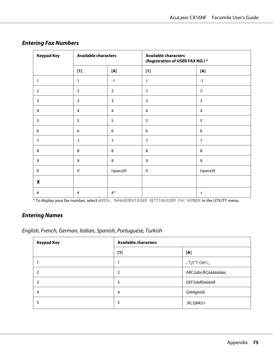| <b>Keypad Key</b> | <b>Available characters</b> |                  | <b>Available characters</b><br>(Registration of USER FAX NO.) * |                |  |
|-------------------|-----------------------------|------------------|-----------------------------------------------------------------|----------------|--|
|                   | $[1]$                       | [A]              | $[1]$                                                           | $[{\sf A}]$    |  |
| 1                 | 1                           | $-1$             | 1                                                               | $-1$           |  |
| $\overline{2}$    | $\overline{2}$              | $\overline{2}$   | $\overline{2}$                                                  | $\overline{2}$ |  |
| $\mathbf{3}$      | $\overline{3}$              | $\overline{3}$   | $\overline{3}$                                                  | $\overline{3}$ |  |
| $\overline{4}$    | 4                           | $\overline{4}$   | 4                                                               | $\overline{4}$ |  |
| 5                 | 5                           | 5                | 5                                                               | 5              |  |
| 6                 | 6                           | $\boldsymbol{6}$ | 6                                                               | 6              |  |
| $\overline{7}$    | $\overline{7}$              | $\overline{7}$   | $\overline{7}$                                                  | $\overline{7}$ |  |
| 8                 | 8                           | 8                | 8                                                               | 8              |  |
| 9                 | 9                           | 9                | 9                                                               | 9              |  |
| $\mathbf 0$       | $\mathbf 0$                 | (space)0         | $\mathbf 0$                                                     | (space)0       |  |
| $\star$           |                             |                  |                                                                 |                |  |
| $\#$              | $\#$                        | #*               |                                                                 | $^{+}$         |  |

#### **Entering Fax Numbers**

\* To display your fax number, select ADMIN. MANAGEMENT/USER SETTING/USER FAX NUMBER in the UTILITY menu.

#### **Entering Names**

English, French, German, Italian, Spanish, Portuguese, Turkish

| <b>Keypad Key</b> | <b>Available characters</b> |                   |
|-------------------|-----------------------------|-------------------|
|                   | $[1]$                       | [A]               |
|                   |                             | _;'/@()-1"¡!¿?',. |
|                   | $\overline{2}$              | ABC2abcÆÇàáâãäåæç |
| 3                 | 3                           | DEF3defĐèéêëð     |
| 4                 | 4                           | GHI4ghiìíï        |
|                   | 5                           | JKL5jkl€£¢        |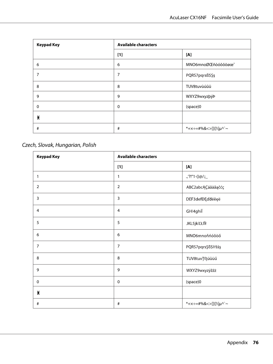| <b>Keypad Key</b> | <b>Available characters</b> |                      |
|-------------------|-----------------------------|----------------------|
|                   | $[1]$                       | [A]                  |
| 6                 | 6                           | MNO6mnoØŒñòóôõöøœ°   |
| 7                 | 7                           | PQRS7pqrsß\$Şş       |
| 8                 | 8                           | TUV8tuvùúûü          |
| 9                 | 9                           | WXYZ9wxyzþýÞ         |
| $\mathbf 0$       | $\mathbf 0$                 | (space)0             |
| $\star$           |                             |                      |
| #                 | #                           | *+x÷=#%&<>[]{}\ µ^`~ |

### Czech, Slovak, Hungarian, Polish

| <b>Keypad Key</b> | <b>Available characters</b> |                      |
|-------------------|-----------------------------|----------------------|
|                   | $[1]$                       | [A]                  |
| 1                 | 1                           | .,'?!"1-()@/:;_      |
| $\overline{2}$    | $\overline{2}$              | ABC2abcĄÇáâäăąčćç    |
| 3                 | 3                           | DEF3defĐĘďđéěęë      |
| 4                 | $\overline{4}$              | GHI4ghil             |
| 5                 | 5                           | <b>JKL5jklLŁlÍł</b>  |
| $\boldsymbol{6}$  | 6                           | MNO6mnoňńóôöő        |
| $\overline{7}$    | $\overline{7}$              | PQRS7pqrsŞß\$řŕšśş   |
| 8                 | 8                           | TUV8tuvŢťţúůüű       |
| 9                 | 9                           | WXYZ9wxyzýžźż        |
| $\mathbf 0$       | $\mathbf 0$                 | (space)0             |
| $\pmb{\times}$    |                             |                      |
| $\#$              | $\#$                        | *+x÷=#%&<>[]{}\ µ^`~ |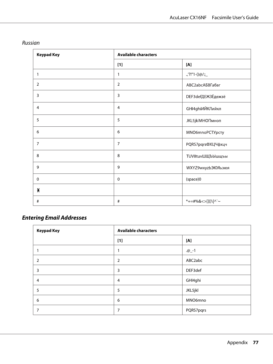| <b>Keypad Key</b> | <b>Available characters</b> |                        |
|-------------------|-----------------------------|------------------------|
|                   | $[1]$                       | [A]                    |
| 1                 | 1                           | $\cdot$ ,'?!"1-()@/:;_ |
| $\overline{2}$    | $\overline{2}$              | ABC2abcAБВГабвг        |
| $\overline{3}$    | $\overline{3}$              | DEF3defДЕЖЗЁдежзё      |
| $\overline{4}$    | $\overline{4}$              | GHI4ghiИЙКЛийкл        |
| 5                 | 5                           | <b>JKL5jkIMHOПмноп</b> |
| $\boldsymbol{6}$  | 6                           | MNO6mnoPCTYpcTy        |
| $\overline{7}$    | $\overline{7}$              | PQRS7pqrsФХЦЧфхцч      |
| 8                 | 8                           | TUV8tuvШЩЪЫшщъы        |
| 9                 | 9                           | WXYZ9wxyzbЭЮЯьэюя      |
| $\pmb{0}$         | $\mathbf 0$                 | (space)0               |
| $\star$           |                             |                        |
| $\#$              | $\#$                        | *+=#%&<>[]{}\ ^`~      |

#### Russian

### **Entering Email Addresses**

| <b>Keypad Key</b> | <b>Available characters</b> |           |
|-------------------|-----------------------------|-----------|
|                   | $[1]$                       | [A]       |
|                   | 1                           | $.@_{-}1$ |
| 2                 | 2                           | ABC2abc   |
| 3                 | 3                           | DEF3def   |
| 4                 | $\overline{4}$              | GHI4ghi   |
| 5                 | 5                           | JKL5jkl   |
| 6                 | 6                           | MNO6mno   |
| 7                 | 7                           | PQRS7pqrs |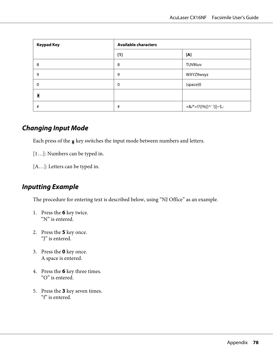<span id="page-77-0"></span>

| <b>Keypad Key</b> | <b>Available characters</b> |                         |
|-------------------|-----------------------------|-------------------------|
|                   | $[1]$                       | [A]                     |
| 8                 | 8                           | TUV8tuv                 |
| 9                 | 9                           | WXYZ9wxyz               |
| $\Omega$          | $\mathbf 0$                 | (space)0                |
| Х                 |                             |                         |
| #                 | #                           | +&/*=!?()%[]^`'{} ~\$,: |

#### **Changing Input Mode**

Each press of the  $\boldsymbol{\mathsf{\mathsf{g}}}$  key switches the input mode between numbers and letters.

- [1…]: Numbers can be typed in.
- [A…]: Letters can be typed in.

#### **Inputting Example**

The procedure for entering text is described below, using "NJ Office" as an example.

- 1. Press the **6** key twice. "N" is entered.
- 2. Press the **5** key once. "J" is entered.
- 3. Press the **0** key once. A space is entered.
- 4. Press the **6** key three times. "O" is entered.
- 5. Press the **3** key seven times. "f" is entered.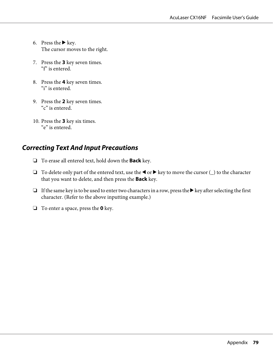- <span id="page-78-0"></span>6. Press the  $\blacktriangleright$  key. The cursor moves to the right.
- 7. Press the **3** key seven times. "f" is entered.
- 8. Press the **4** key seven times. "i" is entered.
- 9. Press the **2** key seven times. "c" is entered.
- 10. Press the **3** key six times. "e" is entered.

#### **Correcting Text And Input Precautions**

- ❏ To erase all entered text, hold down the **Back** key.
- □ To delete only part of the entered text, use the  $\blacktriangleleft$  or  $\blacktriangleright$  key to move the cursor ( $\sqsupset$ ) to the character that you want to delete, and then press the **Back** key.
- ❏ If the same key is to be used to enter two characters in a row, press the r key after selecting the first character. (Refer to the above inputting example.)
- ❏ To enter a space, press the **0** key.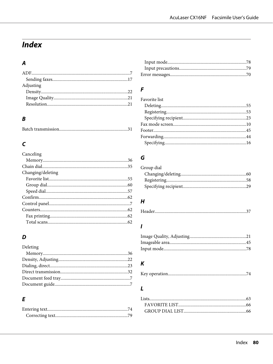# **Index**

### $\overline{A}$

| Adjusting |  |
|-----------|--|
|           |  |
|           |  |
|           |  |
|           |  |

#### $\boldsymbol{B}$

#### $\mathsf{C}$

| Canceling         |  |
|-------------------|--|
|                   |  |
|                   |  |
| Changing/deleting |  |
|                   |  |
|                   |  |
|                   |  |
|                   |  |
|                   |  |
|                   |  |
|                   |  |
|                   |  |

#### D

| Deleting |  |
|----------|--|
|          |  |
|          |  |
|          |  |
|          |  |
|          |  |
|          |  |

#### $\overline{E}$

#### $\overline{F}$

| Favorite list |  |
|---------------|--|
|               |  |
|               |  |
|               |  |
|               |  |
|               |  |
|               |  |
|               |  |

#### $\boldsymbol{G}$

| Group dial |  |
|------------|--|
|            |  |
|            |  |
|            |  |

#### $\boldsymbol{H}$

|--|

#### $\mathbf{I}$

### $\boldsymbol{K}$

#### $\mathbf{L}$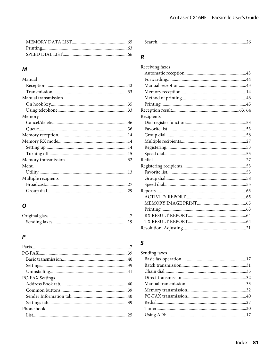#### $\boldsymbol{M}$

### $\boldsymbol{o}$

### $\boldsymbol{P}$

| $PC-FAX$ 39            |  |
|------------------------|--|
|                        |  |
|                        |  |
|                        |  |
| <b>PC-FAX Settings</b> |  |
|                        |  |
|                        |  |
|                        |  |
|                        |  |
| Phone book             |  |
|                        |  |
|                        |  |

|--|

#### $\boldsymbol{R}$

| Receiving faxes |  |
|-----------------|--|
|                 |  |
|                 |  |
|                 |  |
|                 |  |
|                 |  |
|                 |  |
|                 |  |
| Recipients      |  |
|                 |  |
|                 |  |
|                 |  |
|                 |  |
|                 |  |
|                 |  |
|                 |  |
|                 |  |
|                 |  |
|                 |  |
|                 |  |
|                 |  |
|                 |  |
|                 |  |
|                 |  |
|                 |  |
|                 |  |
|                 |  |
|                 |  |

#### $\mathsf{S}$

| Sending faxes |  |
|---------------|--|
|               |  |
|               |  |
|               |  |
|               |  |
|               |  |
|               |  |
|               |  |
|               |  |
|               |  |
|               |  |
|               |  |